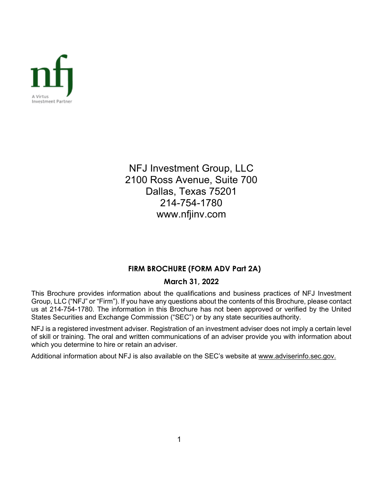

NFJ Investment Group, LLC 2100 Ross Avenue, Suite 700 Dallas, Texas 75201 214-754-1780 www.nfjinv.com

## **FIRM BROCHURE (FORM ADV Part 2A)**

## **March 31, 2022**

This Brochure provides information about the qualifications and business practices of NFJ Investment Group, LLC ("NFJ" or "Firm"). If you have any questions about the contents of this Brochure, please contact us at 214-754-1780. The information in this Brochure has not been approved or verified by the United States Securities and Exchange Commission ("SEC") or by any state securities authority.

NFJ is a registered investment adviser. Registration of an investment adviser does not imply a certain level of skill or training. The oral and written communications of an adviser provide you with information about which you determine to hire or retain an adviser.

Additional information about NFJ is also available on the SEC's website at [www.adviserinfo.sec.gov.](http://www.adviserinfo.sec.gov/)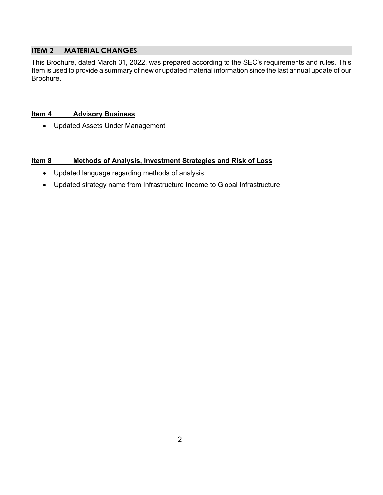## **ITEM 2 MATERIAL CHANGES**

This Brochure, dated March 31, 2022, was prepared according to the SEC's requirements and rules. This Item is used to provide a summary of new or updated material information since the last annual update of our Brochure.

## **Item 4 Advisory Business**

• Updated Assets Under Management

## **Item 8 Methods of Analysis, Investment Strategies and Risk of Loss**

- Updated language regarding methods of analysis
- Updated strategy name from Infrastructure Income to Global Infrastructure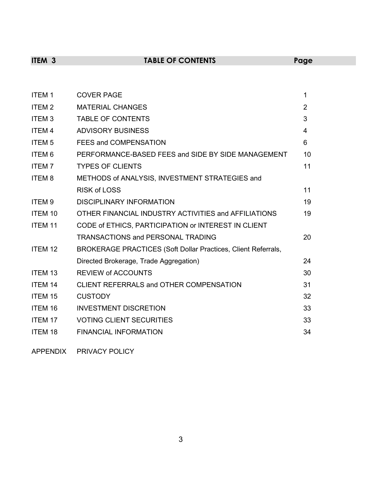# **ITEM 3 TABLE OF CONTENTS Page**

| <b>ITEM1</b>            | <b>COVER PAGE</b>                                             | 1              |
|-------------------------|---------------------------------------------------------------|----------------|
| ITEM <sub>2</sub>       | <b>MATERIAL CHANGES</b>                                       | $\overline{2}$ |
| ITEM <sub>3</sub>       | <b>TABLE OF CONTENTS</b>                                      | 3              |
| <b>ITEM4</b>            | <b>ADVISORY BUSINESS</b>                                      | 4              |
| <b>ITEM<sub>5</sub></b> | FEES and COMPENSATION                                         | 6              |
| ITEM <sub>6</sub>       | PERFORMANCE-BASED FEES and SIDE BY SIDE MANAGEMENT            | 10             |
| <b>ITEM7</b>            | <b>TYPES OF CLIENTS</b>                                       | 11             |
| <b>ITEM8</b>            | METHODS of ANALYSIS, INVESTMENT STRATEGIES and                |                |
|                         | <b>RISK of LOSS</b>                                           | 11             |
| ITEM <sub>9</sub>       | <b>DISCIPLINARY INFORMATION</b>                               | 19             |
| <b>ITEM 10</b>          | OTHER FINANCIAL INDUSTRY ACTIVITIES and AFFILIATIONS          | 19             |
| <b>ITEM 11</b>          | CODE of ETHICS, PARTICIPATION or INTEREST IN CLIENT           |                |
|                         | <b>TRANSACTIONS and PERSONAL TRADING</b>                      | 20             |
| ITEM 12                 | BROKERAGE PRACTICES (Soft Dollar Practices, Client Referrals, |                |
|                         | Directed Brokerage, Trade Aggregation)                        | 24             |
| <b>ITEM 13</b>          | <b>REVIEW of ACCOUNTS</b>                                     | 30             |
| <b>ITEM 14</b>          | CLIENT REFERRALS and OTHER COMPENSATION                       | 31             |
| <b>ITEM 15</b>          | <b>CUSTODY</b>                                                | 32             |
| <b>ITEM 16</b>          | <b>INVESTMENT DISCRETION</b>                                  | 33             |
| <b>ITEM 17</b>          | <b>VOTING CLIENT SECURITIES</b>                               | 33             |
| <b>ITEM 18</b>          | <b>FINANCIAL INFORMATION</b>                                  | 34             |
|                         |                                                               |                |

APPENDIX PRIVACY POLICY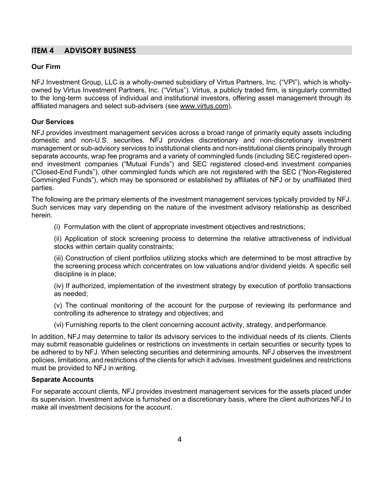## **ITEM 4 ADVISORY BUSINESS**

#### **Our Firm**

NFJ Investment Group, LLC is a wholly-owned subsidiary of Virtus Partners, Inc. ("VPI"), which is whollyowned by Virtus Investment Partners, Inc. ("Virtus"). Virtus, a publicly traded firm, is singularly committed to the long-term success of individual and institutional investors, offering asset management through its affiliated managers and select sub-advisers (see www.virtus.com).

#### **Our Services**

NFJ provides investment management services across a broad range of primarily equity assets including domestic and non-U.S. securities. NFJ provides discretionary and non-discretionary investment management or sub-advisory services to institutional clients and non-institutional clients principally through separate accounts, wrap fee programs and a variety of commingled funds (including SEC registered openend investment companies ("Mutual Funds") and SEC registered closed-end investment companies ("Closed-End Funds"), other commingled funds which are not registered with the SEC ("Non-Registered Commingled Funds"), which may be sponsored or established by affiliates of NFJ or by unaffiliated third parties.

The following are the primary elements of the investment management services typically provided by NFJ. Such services may vary depending on the nature of the investment advisory relationship as described herein.

(i) Formulation with the client of appropriate investment objectives andrestrictions;

(ii) Application of stock screening process to determine the relative attractiveness of individual stocks within certain quality constraints;

(iii) Construction of client portfolios utilizing stocks which are determined to be most attractive by the screening process which concentrates on low valuations and/or dividend yields. A specific sell discipline is in place;

(iv) If authorized, implementation of the investment strategy by execution of portfolio transactions as needed;

(v) The continual monitoring of the account for the purpose of reviewing its performance and controlling its adherence to strategy and objectives; and

(vi) Furnishing reports to the client concerning account activity, strategy, and performance.

In addition, NFJ may determine to tailor its advisory services to the individual needs of its clients. Clients may submit reasonable guidelines or restrictions on investments in certain securities or security types to be adhered to by NFJ. When selecting securities and determining amounts, NFJ observes the investment policies, limitations, and restrictions of the clients for which it advises. Investment guidelines and restrictions must be provided to NFJ in writing.

#### **Separate Accounts**

For separate account clients, NFJ provides investment management services for the assets placed under its supervision. Investment advice is furnished on a discretionary basis, where the client authorizes NFJ to make all investment decisions for the account.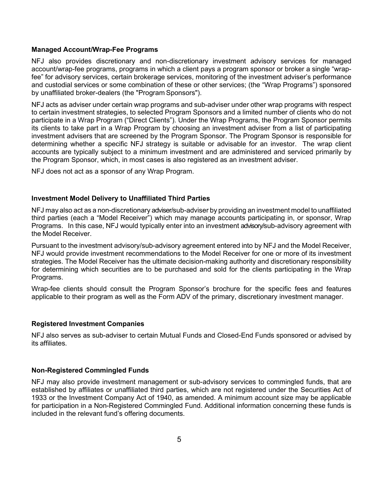#### **Managed Account/Wrap-Fee Programs**

NFJ also provides discretionary and non-discretionary investment advisory services for managed account/wrap-fee programs, programs in which a client pays a program sponsor or broker a single "wrapfee" for advisory services, certain brokerage services, monitoring of the investment adviser's performance and custodial services or some combination of these or other services; (the "Wrap Programs") sponsored by unaffiliated broker-dealers (the "Program Sponsors").

NFJ acts as adviser under certain wrap programs and sub-adviser under other wrap programs with respect to certain investment strategies, to selected Program Sponsors and a limited number of clients who do not participate in a Wrap Program ("Direct Clients"). Under the Wrap Programs, the Program Sponsor permits its clients to take part in a Wrap Program by choosing an investment adviser from a list of participating investment advisers that are screened by the Program Sponsor. The Program Sponsor is responsible for determining whether a specific NFJ strategy is suitable or advisable for an investor. The wrap client accounts are typically subject to a minimum investment and are administered and serviced primarily by the Program Sponsor, which, in most cases is also registered as an investment adviser.

NFJ does not act as a sponsor of any Wrap Program.

#### **Investment Model Delivery to Unaffiliated Third Parties**

NFJ may also act as a non-discretionary adviser/sub-adviser by providing an investment model to unaffiliated third parties (each a "Model Receiver") which may manage accounts participating in, or sponsor, Wrap Programs. In this case, NFJ would typically enter into an investment advisory/sub-advisory agreement with the Model Receiver.

Pursuant to the investment advisory/sub-advisory agreement entered into by NFJ and the Model Receiver, NFJ would provide investment recommendations to the Model Receiver for one or more of its investment strategies. The Model Receiver has the ultimate decision-making authority and discretionary responsibility for determining which securities are to be purchased and sold for the clients participating in the Wrap Programs.

Wrap-fee clients should consult the Program Sponsor's brochure for the specific fees and features applicable to their program as well as the Form ADV of the primary, discretionary investment manager.

#### **Registered Investment Companies**

NFJ also serves as sub-adviser to certain Mutual Funds and Closed-End Funds sponsored or advised by its affiliates.

#### **Non-Registered Commingled Funds**

NFJ may also provide investment management or sub-advisory services to commingled funds, that are established by affiliates or unaffiliated third parties, which are not registered under the Securities Act of 1933 or the Investment Company Act of 1940, as amended. A minimum account size may be applicable for participation in a Non-Registered Commingled Fund. Additional information concerning these funds is included in the relevant fund's offering documents.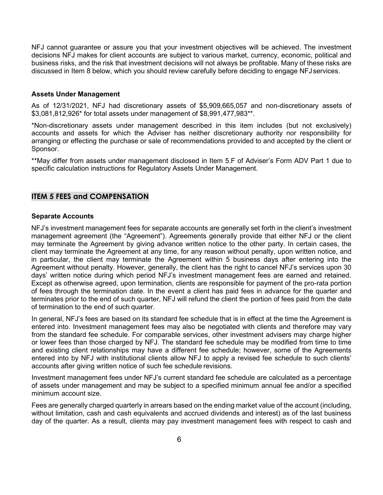NFJ cannot guarantee or assure you that your investment objectives will be achieved. The investment decisions NFJ makes for client accounts are subject to various market, currency, economic, political and business risks, and the risk that investment decisions will not always be profitable. Many of these risks are discussed in Item 8 below, which you should review carefully before deciding to engage NFJ services.

#### **Assets Under Management**

As of 12/31/2021, NFJ had discretionary assets of \$5,909,665,057 and non-discretionary assets of \$3,081,812,926\* for total assets under management of \$8,991,477,983\*\*.

\*Non-discretionary assets under management described in this item includes (but not exclusively) accounts and assets for which the Adviser has neither discretionary authority nor responsibility for arranging or effecting the purchase or sale of recommendations provided to and accepted by the client or Sponsor.

\*\*May differ from assets under management disclosed in Item 5.F of Adviser's Form ADV Part 1 due to specific calculation instructions for Regulatory Assets Under Management.

## **ITEM 5 FEES and COMPENSATION**

#### **Separate Accounts**

NFJ's investment management fees for separate accounts are generally set forth in the client's investment management agreement (the "Agreement"). Agreements generally provide that either NFJ or the client may terminate the Agreement by giving advance written notice to the other party. In certain cases, the client may terminate the Agreement at any time, for any reason without penalty, upon written notice, and in particular, the client may terminate the Agreement within 5 business days after entering into the Agreement without penalty. However, generally, the client has the right to cancel NFJ's services upon 30 days' written notice during which period NFJ's investment management fees are earned and retained. Except as otherwise agreed, upon termination, clients are responsible for payment of the pro-rata portion of fees through the termination date. In the event a client has paid fees in advance for the quarter and terminates prior to the end of such quarter, NFJ will refund the client the portion of fees paid from the date of termination to the end of such quarter.

In general, NFJ's fees are based on its standard fee schedule that is in effect at the time the Agreement is entered into. Investment management fees may also be negotiated with clients and therefore may vary from the standard fee schedule. For comparable services, other investment advisers may charge higher or lower fees than those charged by NFJ. The standard fee schedule may be modified from time to time and existing client relationships may have a different fee schedule; however, some of the Agreements entered into by NFJ with institutional clients allow NFJ to apply a revised fee schedule to such clients' accounts after giving written notice of such fee schedule revisions.

Investment management fees under NFJ's current standard fee schedule are calculated as a percentage of assets under management and may be subject to a specified minimum annual fee and/or a specified minimum account size.

Fees are generally charged quarterly in arrears based on the ending market value of the account (including, without limitation, cash and cash equivalents and accrued dividends and interest) as of the last business day of the quarter. As a result, clients may pay investment management fees with respect to cash and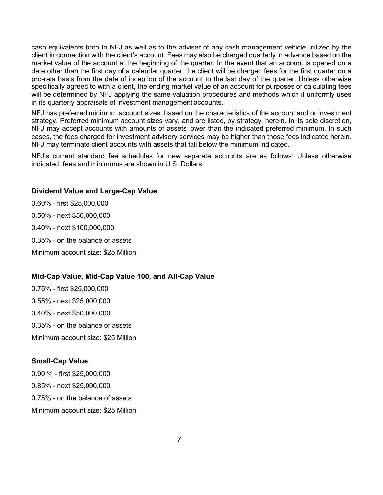cash equivalents both to NFJ as well as to the adviser of any cash management vehicle utilized by the client in connection with the client's account. Fees may also be charged quarterly in advance based on the market value of the account at the beginning of the quarter. In the event that an account is opened on a date other than the first day of a calendar quarter, the client will be charged fees for the first quarter on a pro-rata basis from the date of inception of the account to the last day of the quarter. Unless otherwise specifically agreed to with a client, the ending market value of an account for purposes of calculating fees will be determined by NFJ applying the same valuation procedures and methods which it uniformly uses in its quarterly appraisals of investment management accounts.

NFJ has preferred minimum account sizes, based on the characteristics of the account and or investment strategy. Preferred minimum account sizes vary, and are listed, by strategy, herein. In its sole discretion, NFJ may accept accounts with amounts of assets lower than the indicated preferred minimum. In such cases, the fees charged for investment advisory services may be higher than those fees indicated herein. NFJ may terminate client accounts with assets that fall below the minimum indicated.

NFJ's current standard fee schedules for new separate accounts are as follows: Unless otherwise indicated, fees and minimums are shown in U.S. Dollars.

#### **Dividend Value and Large-Cap Value**

0.60% - first \$25,000,000 0.50% - next \$50,000,000 0.40% - next \$100,000,000 0.35% - on the balance of assets

Minimum account size: \$25 Million

## **Mid-Cap Value, Mid-Cap Value 100, and All-Cap Value**

0.75% - first \$25,000,000 0.55% - next \$25,000,000 0.40% - next \$50,000,000 0.35% - on the balance of assets Minimum account size: \$25 Million

#### **Small-Cap Value**

0.90 % - first \$25,000,000 0.85% - next \$25,000,000 0.75% - on the balance of assets Minimum account size: \$25 Million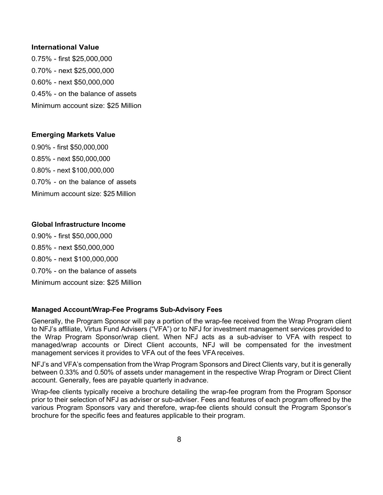#### **International Value**

0.75% - first \$25,000,000 0.70% - next \$25,000,000 0.60% - next \$50,000,000 0.45% - on the balance of assets Minimum account size: \$25 Million

#### **Emerging Markets Value**

0.90% - first \$50,000,000 0.85% - next \$50,000,000 0.80% - next \$100,000,000 0.70% - on the balance of assets Minimum account size: \$25 Million

#### **Global Infrastructure Income**

0.90% - first \$50,000,000 0.85% - next \$50,000,000 0.80% - next \$100,000,000 0.70% - on the balance of assets Minimum account size: \$25 Million

#### **Managed Account/Wrap-Fee Programs Sub-Advisory Fees**

Generally, the Program Sponsor will pay a portion of the wrap-fee received from the Wrap Program client to NFJ's affiliate, Virtus Fund Advisers ("VFA") or to NFJ for investment management services provided to the Wrap Program Sponsor/wrap client. When NFJ acts as a sub-adviser to VFA with respect to managed/wrap accounts or Direct Client accounts, NFJ will be compensated for the investment management services it provides to VFA out of the fees VFAreceives.

NFJ's and VFA's compensation from the Wrap Program Sponsors and Direct Clients vary, but it is generally between 0.33% and 0.50% of assets under management in the respective Wrap Program or Direct Client account. Generally, fees are payable quarterly in advance.

Wrap-fee clients typically receive a brochure detailing the wrap-fee program from the Program Sponsor prior to their selection of NFJ as adviser or sub-adviser. Fees and features of each program offered by the various Program Sponsors vary and therefore, wrap-fee clients should consult the Program Sponsor's brochure for the specific fees and features applicable to their program.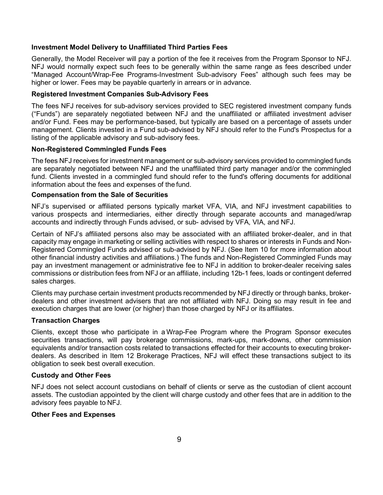#### **Investment Model Delivery to Unaffiliated Third Parties Fees**

Generally, the Model Receiver will pay a portion of the fee it receives from the Program Sponsor to NFJ. NFJ would normally expect such fees to be generally within the same range as fees described under "Managed Account/Wrap-Fee Programs-Investment Sub-advisory Fees" although such fees may be higher or lower. Fees may be payable quarterly in arrears or in advance.

#### **Registered Investment Companies Sub-Advisory Fees**

The fees NFJ receives for sub-advisory services provided to SEC registered investment company funds ("Funds") are separately negotiated between NFJ and the unaffiliated or affiliated investment adviser and/or Fund. Fees may be performance-based, but typically are based on a percentage of assets under management. Clients invested in a Fund sub-advised by NFJ should refer to the Fund's Prospectus for a listing of the applicable advisory and sub-advisory fees.

#### **Non-Registered Commingled Funds Fees**

The fees NFJ receives for investment management or sub-advisory services provided to commingled funds are separately negotiated between NFJ and the unaffiliated third party manager and/or the commingled fund. Clients invested in a commingled fund should refer to the fund's offering documents for additional information about the fees and expenses of the fund.

#### **Compensation from the Sale of Securities**

NFJ's supervised or affiliated persons typically market VFA, VIA, and NFJ investment capabilities to various prospects and intermediaries, either directly through separate accounts and managed/wrap accounts and indirectly through Funds advised, or sub- advised by VFA, VIA, and NFJ.

Certain of NFJ's affiliated persons also may be associated with an affiliated broker-dealer, and in that capacity may engage in marketing or selling activities with respect to shares or interests in Funds and Non-Registered Commingled Funds advised or sub-advised by NFJ. (See Item 10 for more information about other financial industry activities and affiliations.) The funds and Non-Registered Commingled Funds may pay an investment management or administrative fee to NFJ in addition to broker-dealer receiving sales commissions or distribution fees from NFJ or an affiliate, including 12b-1 fees, loads or contingent deferred sales charges.

Clients may purchase certain investment products recommended by NFJ directly or through banks, brokerdealers and other investment advisers that are not affiliated with NFJ. Doing so may result in fee and execution charges that are lower (or higher) than those charged by NFJ or its affiliates.

#### **Transaction Charges**

Clients, except those who participate in a Wrap-Fee Program where the Program Sponsor executes securities transactions, will pay brokerage commissions, mark-ups, mark-downs, other commission equivalents and/or transaction costs related to transactions effected for their accounts to executing brokerdealers. As described in Item 12 Brokerage Practices, NFJ will effect these transactions subject to its obligation to seek best overall execution.

#### **Custody and Other Fees**

NFJ does not select account custodians on behalf of clients or serve as the custodian of client account assets. The custodian appointed by the client will charge custody and other fees that are in addition to the advisory fees payable to NFJ.

#### **Other Fees and Expenses**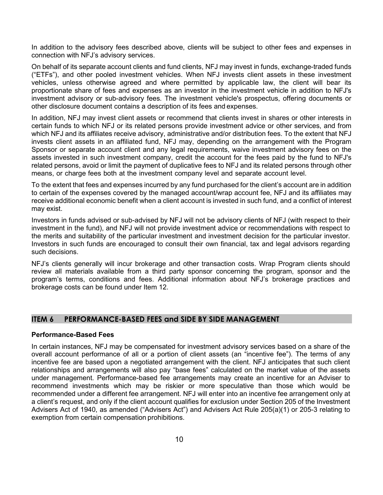In addition to the advisory fees described above, clients will be subject to other fees and expenses in connection with NFJ's advisory services.

On behalf of its separate account clients and fund clients, NFJ may invest in funds, exchange-traded funds ("ETFs"), and other pooled investment vehicles. When NFJ invests client assets in these investment vehicles, unless otherwise agreed and where permitted by applicable law, the client will bear its proportionate share of fees and expenses as an investor in the investment vehicle in addition to NFJ's investment advisory or sub-advisory fees. The investment vehicle's prospectus, offering documents or other disclosure document contains a description of its fees and expenses.

In addition, NFJ may invest client assets or recommend that clients invest in shares or other interests in certain funds to which NFJ or its related persons provide investment advice or other services, and from which NFJ and its affiliates receive advisory, administrative and/or distribution fees. To the extent that NFJ invests client assets in an affiliated fund, NFJ may, depending on the arrangement with the Program Sponsor or separate account client and any legal requirements, waive investment advisory fees on the assets invested in such investment company, credit the account for the fees paid by the fund to NFJ's related persons, avoid or limit the payment of duplicative fees to NFJ and its related persons through other means, or charge fees both at the investment company level and separate account level.

To the extent that fees and expenses incurred by any fund purchased for the client's account are in addition to certain of the expenses covered by the managed account/wrap account fee, NFJ and its affiliates may receive additional economic benefit when a client account is invested in such fund, and a conflict of interest may exist.

Investors in funds advised or sub-advised by NFJ will not be advisory clients of NFJ (with respect to their investment in the fund), and NFJ will not provide investment advice or recommendations with respect to the merits and suitability of the particular investment and investment decision for the particular investor. Investors in such funds are encouraged to consult their own financial, tax and legal advisors regarding such decisions.

NFJ's clients generally will incur brokerage and other transaction costs. Wrap Program clients should review all materials available from a third party sponsor concerning the program, sponsor and the program's terms, conditions and fees. Additional information about NFJ's brokerage practices and brokerage costs can be found under Item 12.

#### **ITEM 6 PERFORMANCE-BASED FEES and SIDE BY SIDE MANAGEMENT**

#### **Performance-Based Fees**

In certain instances, NFJ may be compensated for investment advisory services based on a share of the overall account performance of all or a portion of client assets (an "incentive fee"). The terms of any incentive fee are based upon a negotiated arrangement with the client. NFJ anticipates that such client relationships and arrangements will also pay "base fees" calculated on the market value of the assets under management. Performance-based fee arrangements may create an incentive for an Adviser to recommend investments which may be riskier or more speculative than those which would be recommended under a different fee arrangement. NFJ will enter into an incentive fee arrangement only at a client's request, and only if the client account qualifies for exclusion under Section 205 of the Investment Advisers Act of 1940, as amended ("Advisers Act") and Advisers Act Rule 205(a)(1) or 205-3 relating to exemption from certain compensation prohibitions.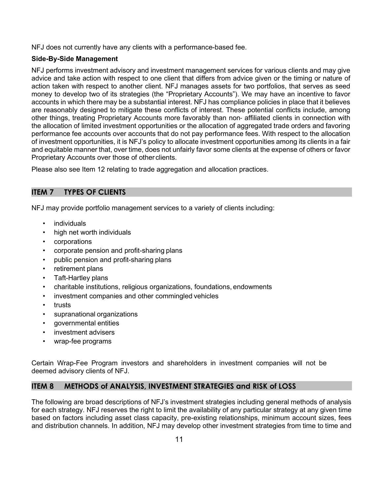NFJ does not currently have any clients with a performance-based fee.

## **Side-By-Side Management**

NFJ performs investment advisory and investment management services for various clients and may give advice and take action with respect to one client that differs from advice given or the timing or nature of action taken with respect to another client. NFJ manages assets for two portfolios, that serves as seed money to develop two of its strategies (the "Proprietary Accounts"). We may have an incentive to favor accounts in which there may be a substantial interest. NFJ has compliance policies in place that it believes are reasonably designed to mitigate these conflicts of interest. These potential conflicts include, among other things, treating Proprietary Accounts more favorably than non‐ affiliated clients in connection with the allocation of limited investment opportunities or the allocation of aggregated trade orders and favoring performance fee accounts over accounts that do not pay performance fees. With respect to the allocation of investment opportunities, it is NFJ's policy to allocate investment opportunities among its clients in a fair and equitable manner that, over time, does not unfairly favor some clients at the expense of others or favor Proprietary Accounts over those of other clients.

Please also see Item 12 relating to trade aggregation and allocation practices.

## **ITEM 7 TYPES OF CLIENTS**

NFJ may provide portfolio management services to a variety of clients including:

- **individuals**
- high net worth individuals
- corporations
- corporate pension and profit-sharing plans
- public pension and profit-sharing plans
- retirement plans
- Taft-Hartley plans
- charitable institutions, religious organizations, foundations, endowments
- investment companies and other commingled vehicles
- **trusts**
- supranational organizations
- governmental entities
- investment advisers
- wrap-fee programs

Certain Wrap-Fee Program investors and shareholders in investment companies will not be deemed advisory clients of NFJ.

## **ITEM 8 METHODS of ANALYSIS, INVESTMENT STRATEGIES and RISK of LOSS**

The following are broad descriptions of NFJ's investment strategies including general methods of analysis for each strategy. NFJ reserves the right to limit the availability of any particular strategy at any given time based on factors including asset class capacity, pre-existing relationships, minimum account sizes, fees and distribution channels. In addition, NFJ may develop other investment strategies from time to time and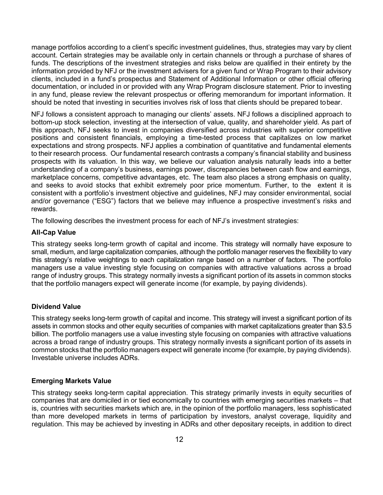manage portfolios according to a client's specific investment guidelines, thus, strategies may vary by client account. Certain strategies may be available only in certain channels or through a purchase of shares of funds. The descriptions of the investment strategies and risks below are qualified in their entirety by the information provided by NFJ or the investment advisers for a given fund or Wrap Program to their advisory clients, included in a fund's prospectus and Statement of Additional Information or other official offering documentation, or included in or provided with any Wrap Program disclosure statement. Prior to investing in any fund, please review the relevant prospectus or offering memorandum for important information. It should be noted that investing in securities involves risk of loss that clients should be prepared tobear.

NFJ follows a consistent approach to managing our clients' assets. NFJ follows a disciplined approach to bottom-up stock selection, investing at the intersection of value, quality, and shareholder yield. As part of this approach, NFJ seeks to invest in companies diversified across industries with superior competitive positions and consistent financials, employing a time-tested process that capitalizes on low market expectations and strong prospects. NFJ applies a combination of quantitative and fundamental elements to their research process. Our fundamental research contrasts a company's financial stability and business prospects with its valuation. In this way, we believe our valuation analysis naturally leads into a better understanding of a company's business, earnings power, discrepancies between cash flow and earnings, marketplace concerns, competitive advantages, etc. The team also places a strong emphasis on quality, and seeks to avoid stocks that exhibit extremely poor price momentum. Further, to the extent it is consistent with a portfolio's investment objective and guidelines, NFJ may consider environmental, social and/or governance ("ESG") factors that we believe may influence a prospective investment's risks and rewards.

The following describes the investment process for each of NFJ's investment strategies:

#### **All-Cap Value**

This strategy seeks long-term growth of capital and income. This strategy will normally have exposure to small, medium, and large capitalization companies, although the portfolio manager reserves the flexibility to vary this strategy's relative weightings to each capitalization range based on a number of factors. The portfolio managers use a value investing style focusing on companies with attractive valuations across a broad range of industry groups. This strategy normally invests a significant portion of its assets in common stocks that the portfolio managers expect will generate income (for example, by paying dividends).

## **Dividend Value**

This strategy seeks long-term growth of capital and income. This strategy will invest a significant portion of its assets in common stocks and other equity securities of companies with market capitalizations greater than \$3.5 billion. The portfolio managers use a value investing style focusing on companies with attractive valuations across a broad range of industry groups. This strategy normally invests a significant portion of its assets in common stocks that the portfolio managers expect will generate income (for example, by paying dividends). Investable universe includes ADRs.

## **Emerging Markets Value**

This strategy seeks long-term capital appreciation. This strategy primarily invests in equity securities of companies that are domiciled in or tied economically to countries with emerging securities markets – that is, countries with securities markets which are, in the opinion of the portfolio managers, less sophisticated than more developed markets in terms of participation by investors, analyst coverage, liquidity and regulation. This may be achieved by investing in ADRs and other depositary receipts, in addition to direct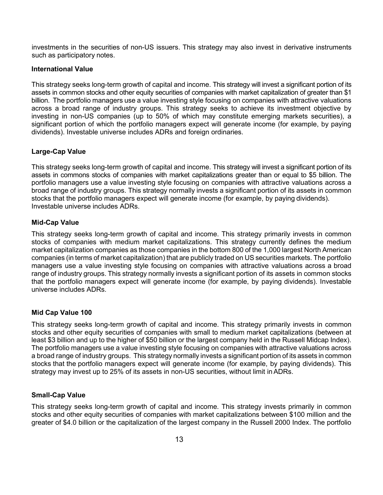investments in the securities of non-US issuers. This strategy may also invest in derivative instruments such as participatory notes.

#### **International Value**

This strategy seeks long-term growth of capital and income. This strategy will invest a significant portion of its assets in common stocks and other equity securities of companies with market capitalization of greater than \$1 billion. The portfolio managers use a value investing style focusing on companies with attractive valuations across a broad range of industry groups. This strategy seeks to achieve its investment objective by investing in non-US companies (up to 50% of which may constitute emerging markets securities), a significant portion of which the portfolio managers expect will generate income (for example, by paying dividends). Investable universe includes ADRs and foreign ordinaries.

## **Large-Cap Value**

This strategy seeks long-term growth of capital and income. This strategy will invest a significant portion of its assets in commons stocks of companies with market capitalizations greater than or equal to \$5 billion. The portfolio managers use a value investing style focusing on companies with attractive valuations across a broad range of industry groups. This strategy normally invests a significant portion of its assets in common stocks that the portfolio managers expect will generate income (for example, by paying dividends). Investable universe includes ADRs.

#### **Mid-Cap Value**

This strategy seeks long-term growth of capital and income. This strategy primarily invests in common stocks of companies with medium market capitalizations. This strategy currently defines the medium market capitalization companies as those companies in the bottom 800 of the 1,000 largest North American companies (in terms of market capitalization) that are publicly traded on US securities markets. The portfolio managers use a value investing style focusing on companies with attractive valuations across a broad range of industry groups. This strategy normally invests a significant portion of its assets in common stocks that the portfolio managers expect will generate income (for example, by paying dividends). Investable universe includes ADRs.

## **Mid Cap Value 100**

This strategy seeks long-term growth of capital and income. This strategy primarily invests in common stocks and other equity securities of companies with small to medium market capitalizations (between at least \$3 billion and up to the higher of \$50 billion or the largest company held in the Russell Midcap Index). The portfolio managers use a value investing style focusing on companies with attractive valuations across a broad range of industry groups. This strategy normally invests a significant portion of its assets in common stocks that the portfolio managers expect will generate income (for example, by paying dividends). This strategy may invest up to 25% of its assets in non-US securities, without limit inADRs.

#### **Small-Cap Value**

This strategy seeks long-term growth of capital and income. This strategy invests primarily in common stocks and other equity securities of companies with market capitalizations between \$100 million and the greater of \$4.0 billion or the capitalization of the largest company in the Russell 2000 Index. The portfolio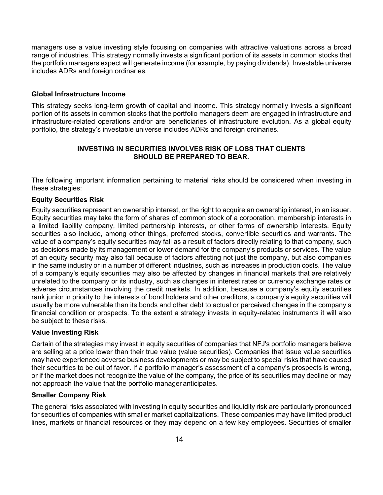managers use a value investing style focusing on companies with attractive valuations across a broad range of industries. This strategy normally invests a significant portion of its assets in common stocks that the portfolio managers expect will generate income (for example, by paying dividends). Investable universe includes ADRs and foreign ordinaries.

#### **Global Infrastructure Income**

This strategy seeks long-term growth of capital and income. This strategy normally invests a significant portion of its assets in common stocks that the portfolio managers deem are engaged in infrastructure and infrastructure-related operations and/or are beneficiaries of infrastructure evolution. As a global equity portfolio, the strategy's investable universe includes ADRs and foreign ordinaries.

#### **INVESTING IN SECURITIES INVOLVES RISK OF LOSS THAT CLIENTS SHOULD BE PREPARED TO BEAR.**

The following important information pertaining to material risks should be considered when investing in these strategies:

#### **Equity Securities Risk**

Equity securities represent an ownership interest, or the right to acquire an ownership interest, in an issuer. Equity securities may take the form of shares of common stock of a corporation, membership interests in a limited liability company, limited partnership interests, or other forms of ownership interests. Equity securities also include, among other things, preferred stocks, convertible securities and warrants. The value of a company's equity securities may fall as a result of factors directly relating to that company, such as decisions made by its management or lower demand for the company's products or services. The value of an equity security may also fall because of factors affecting not just the company, but also companies in the same industry or in a number of different industries, such as increases in production costs. The value of a company's equity securities may also be affected by changes in financial markets that are relatively unrelated to the company or its industry, such as changes in interest rates or currency exchange rates or adverse circumstances involving the credit markets. In addition, because a company's equity securities rank junior in priority to the interests of bond holders and other creditors, a company's equity securities will usually be more vulnerable than its bonds and other debt to actual or perceived changes in the company's financial condition or prospects. To the extent a strategy invests in equity-related instruments it will also be subject to these risks.

#### **Value Investing Risk**

Certain of the strategies may invest in equity securities of companies that NFJ's portfolio managers believe are selling at a price lower than their true value (value securities). Companies that issue value securities may have experienced adverse business developments or may be subject to special risks that have caused their securities to be out of favor. If a portfolio manager's assessment of a company's prospects is wrong, or if the market does not recognize the value of the company, the price of its securities may decline or may not approach the value that the portfolio manager anticipates.

#### **Smaller Company Risk**

The general risks associated with investing in equity securities and liquidity risk are particularly pronounced for securities of companies with smaller market capitalizations. These companies may have limited product lines, markets or financial resources or they may depend on a few key employees. Securities of smaller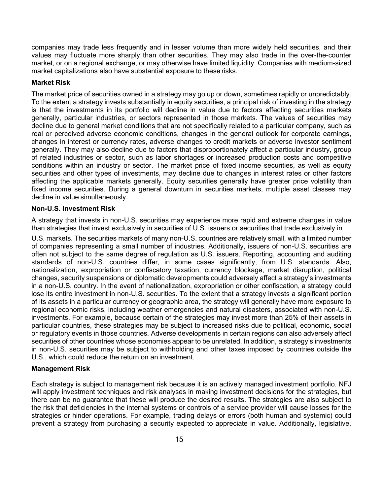companies may trade less frequently and in lesser volume than more widely held securities, and their values may fluctuate more sharply than other securities. They may also trade in the over-the-counter market, or on a regional exchange, or may otherwise have limited liquidity. Companies with medium-sized market capitalizations also have substantial exposure to these risks.

#### **Market Risk**

The market price of securities owned in a strategy may go up or down, sometimes rapidly or unpredictably. To the extent a strategy invests substantially in equity securities, a principal risk of investing in the strategy is that the investments in its portfolio will decline in value due to factors affecting securities markets generally, particular industries, or sectors represented in those markets. The values of securities may decline due to general market conditions that are not specifically related to a particular company, such as real or perceived adverse economic conditions, changes in the general outlook for corporate earnings, changes in interest or currency rates, adverse changes to credit markets or adverse investor sentiment generally. They may also decline due to factors that disproportionately affect a particular industry, group of related industries or sector, such as labor shortages or increased production costs and competitive conditions within an industry or sector. The market price of fixed income securities, as well as equity securities and other types of investments, may decline due to changes in interest rates or other factors affecting the applicable markets generally. Equity securities generally have greater price volatility than fixed income securities. During a general downturn in securities markets, multiple asset classes may decline in value simultaneously.

#### **Non-U.S. Investment Risk**

A strategy that invests in non-U.S. securities may experience more rapid and extreme changes in value than strategies that invest exclusively in securities of U.S. issuers or securities that trade exclusively in

U.S. markets. The securities markets of many non-U.S. countries are relatively small, with a limited number of companies representing a small number of industries. Additionally, issuers of non-U.S. securities are often not subject to the same degree of regulation as U.S. issuers. Reporting, accounting and auditing standards of non-U.S. countries differ, in some cases significantly, from U.S. standards. Also, nationalization, expropriation or confiscatory taxation, currency blockage, market disruption, political changes, security suspensions or diplomatic developments could adversely affect a strategy's investments in a non-U.S. country. In the event of nationalization, expropriation or other confiscation, a strategy could lose its entire investment in non-U.S. securities. To the extent that a strategy invests a significant portion of its assets in a particular currency or geographic area, the strategy will generally have more exposure to regional economic risks, including weather emergencies and natural disasters, associated with non-U.S. investments. For example, because certain of the strategies may invest more than 25% of their assets in particular countries, these strategies may be subject to increased risks due to political, economic, social or regulatory events in those countries. Adverse developments in certain regions can also adversely affect securities of other countries whose economies appear to be unrelated. In addition, a strategy's investments in non-U.S. securities may be subject to withholding and other taxes imposed by countries outside the U.S., which could reduce the return on an investment.

## **Management Risk**

Each strategy is subject to management risk because it is an actively managed investment portfolio. NFJ will apply investment techniques and risk analyses in making investment decisions for the strategies, but there can be no guarantee that these will produce the desired results. The strategies are also subject to the risk that deficiencies in the internal systems or controls of a service provider will cause losses for the strategies or hinder operations. For example, trading delays or errors (both human and systemic) could prevent a strategy from purchasing a security expected to appreciate in value. Additionally, legislative,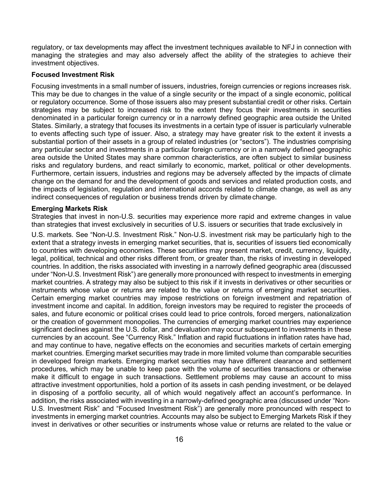regulatory, or tax developments may affect the investment techniques available to NFJ in connection with managing the strategies and may also adversely affect the ability of the strategies to achieve their investment objectives.

#### **Focused Investment Risk**

Focusing investments in a small number of issuers, industries, foreign currencies or regions increases risk. This may be due to changes in the value of a single security or the impact of a single economic, political or regulatory occurrence. Some of those issuers also may present substantial credit or other risks. Certain strategies may be subject to increased risk to the extent they focus their investments in securities denominated in a particular foreign currency or in a narrowly defined geographic area outside the United States. Similarly, a strategy that focuses its investments in a certain type of issuer is particularly vulnerable to events affecting such type of issuer. Also, a strategy may have greater risk to the extent it invests a substantial portion of their assets in a group of related industries (or "sectors"). The industries comprising any particular sector and investments in a particular foreign currency or in a narrowly defined geographic area outside the United States may share common characteristics, are often subject to similar business risks and regulatory burdens, and react similarly to economic, market, political or other developments. Furthermore, certain issuers, industries and regions may be adversely affected by the impacts of climate change on the demand for and the development of goods and services and related production costs, and the impacts of legislation, regulation and international accords related to climate change, as well as any indirect consequences of regulation or business trends driven by climate change.

#### **Emerging Markets Risk**

Strategies that invest in non-U.S. securities may experience more rapid and extreme changes in value than strategies that invest exclusively in securities of U.S. issuers or securities that trade exclusively in

U.S. markets. See "Non-U.S. Investment Risk." Non-U.S. investment risk may be particularly high to the extent that a strategy invests in emerging market securities, that is, securities of issuers tied economically to countries with developing economies. These securities may present market, credit, currency, liquidity, legal, political, technical and other risks different from, or greater than, the risks of investing in developed countries. In addition, the risks associated with investing in a narrowly defined geographic area (discussed under "Non-U.S. Investment Risk") are generally more pronounced with respect to investments in emerging market countries. A strategy may also be subject to this risk if it invests in derivatives or other securities or instruments whose value or returns are related to the value or returns of emerging market securities. Certain emerging market countries may impose restrictions on foreign investment and repatriation of investment income and capital. In addition, foreign investors may be required to register the proceeds of sales, and future economic or political crises could lead to price controls, forced mergers, nationalization or the creation of government monopolies. The currencies of emerging market countries may experience significant declines against the U.S. dollar, and devaluation may occur subsequent to investments in these currencies by an account. See "Currency Risk." Inflation and rapid fluctuations in inflation rates have had, and may continue to have, negative effects on the economies and securities markets of certain emerging market countries. Emerging market securities may trade in more limited volume than comparable securities in developed foreign markets. Emerging market securities may have different clearance and settlement procedures, which may be unable to keep pace with the volume of securities transactions or otherwise make it difficult to engage in such transactions. Settlement problems may cause an account to miss attractive investment opportunities, hold a portion of its assets in cash pending investment, or be delayed in disposing of a portfolio security, all of which would negatively affect an account's performance. In addition, the risks associated with investing in a narrowly-defined geographic area (discussed under "Non-U.S. Investment Risk" and "Focused Investment Risk") are generally more pronounced with respect to investments in emerging market countries. Accounts may also be subject to Emerging Markets Risk if they invest in derivatives or other securities or instruments whose value or returns are related to the value or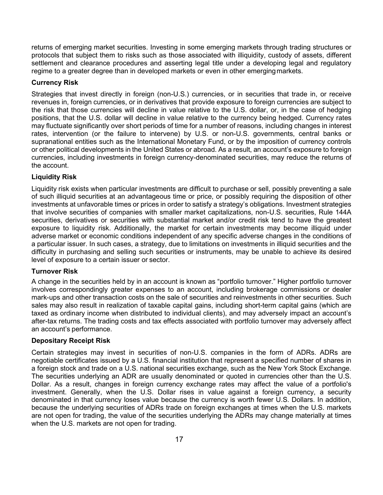returns of emerging market securities. Investing in some emerging markets through trading structures or protocols that subject them to risks such as those associated with illiquidity, custody of assets, different settlement and clearance procedures and asserting legal title under a developing legal and regulatory regime to a greater degree than in developed markets or even in other emerging markets.

#### **Currency Risk**

Strategies that invest directly in foreign (non-U.S.) currencies, or in securities that trade in, or receive revenues in, foreign currencies, or in derivatives that provide exposure to foreign currencies are subject to the risk that those currencies will decline in value relative to the U.S. dollar, or, in the case of hedging positions, that the U.S. dollar will decline in value relative to the currency being hedged. Currency rates may fluctuate significantly over short periods of time for a number of reasons, including changes in interest rates, intervention (or the failure to intervene) by U.S. or non-U.S. governments, central banks or supranational entities such as the International Monetary Fund, or by the imposition of currency controls or other political developments in the United States or abroad. As a result, an account's exposure to foreign currencies, including investments in foreign currency-denominated securities, may reduce the returns of the account.

## **Liquidity Risk**

Liquidity risk exists when particular investments are difficult to purchase or sell, possibly preventing a sale of such illiquid securities at an advantageous time or price, or possibly requiring the disposition of other investments at unfavorable times or prices in order to satisfy a strategy's obligations. Investment strategies that involve securities of companies with smaller market capitalizations, non-U.S. securities, Rule 144A securities, derivatives or securities with substantial market and/or credit risk tend to have the greatest exposure to liquidity risk. Additionally, the market for certain investments may become illiquid under adverse market or economic conditions independent of any specific adverse changes in the conditions of a particular issuer. In such cases, a strategy, due to limitations on investments in illiquid securities and the difficulty in purchasing and selling such securities or instruments, may be unable to achieve its desired level of exposure to a certain issuer or sector.

## **Turnover Risk**

A change in the securities held by in an account is known as "portfolio turnover." Higher portfolio turnover involves correspondingly greater expenses to an account, including brokerage commissions or dealer mark-ups and other transaction costs on the sale of securities and reinvestments in other securities. Such sales may also result in realization of taxable capital gains, including short-term capital gains (which are taxed as ordinary income when distributed to individual clients), and may adversely impact an account's after-tax returns. The trading costs and tax effects associated with portfolio turnover may adversely affect an account's performance.

## **Depositary Receipt Risk**

Certain strategies may invest in securities of non-U.S. companies in the form of ADRs. ADRs are negotiable certificates issued by a U.S. financial institution that represent a specified number of shares in a foreign stock and trade on a U.S. national securities exchange, such as the New York Stock Exchange. The securities underlying an ADR are usually denominated or quoted in currencies other than the U.S. Dollar. As a result, changes in foreign currency exchange rates may affect the value of a portfolio's investment. Generally, when the U.S. Dollar rises in value against a foreign currency, a security denominated in that currency loses value because the currency is worth fewer U.S. Dollars. In addition, because the underlying securities of ADRs trade on foreign exchanges at times when the U.S. markets are not open for trading, the value of the securities underlying the ADRs may change materially at times when the U.S. markets are not open for trading.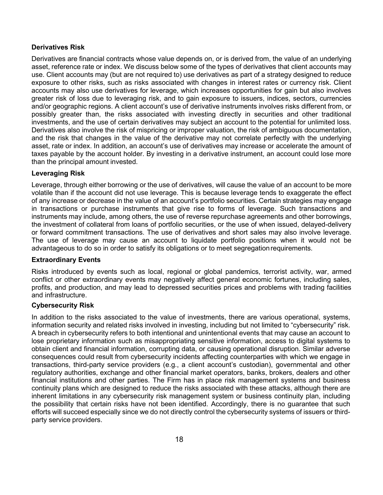## **Derivatives Risk**

Derivatives are financial contracts whose value depends on, or is derived from, the value of an underlying asset, reference rate or index. We discuss below some of the types of derivatives that client accounts may use. Client accounts may (but are not required to) use derivatives as part of a strategy designed to reduce exposure to other risks, such as risks associated with changes in interest rates or currency risk. Client accounts may also use derivatives for leverage, which increases opportunities for gain but also involves greater risk of loss due to leveraging risk, and to gain exposure to issuers, indices, sectors, currencies and/or geographic regions. A client account's use of derivative instruments involves risks different from, or possibly greater than, the risks associated with investing directly in securities and other traditional investments, and the use of certain derivatives may subject an account to the potential for unlimited loss. Derivatives also involve the risk of mispricing or improper valuation, the risk of ambiguous documentation, and the risk that changes in the value of the derivative may not correlate perfectly with the underlying asset, rate or index. In addition, an account's use of derivatives may increase or accelerate the amount of taxes payable by the account holder. By investing in a derivative instrument, an account could lose more than the principal amount invested.

#### **Leveraging Risk**

Leverage, through either borrowing or the use of derivatives, will cause the value of an account to be more volatile than if the account did not use leverage. This is because leverage tends to exaggerate the effect of any increase or decrease in the value of an account's portfolio securities. Certain strategies may engage in transactions or purchase instruments that give rise to forms of leverage. Such transactions and instruments may include, among others, the use of reverse repurchase agreements and other borrowings, the investment of collateral from loans of portfolio securities, or the use of when issued, delayed-delivery or forward commitment transactions. The use of derivatives and short sales may also involve leverage. The use of leverage may cause an account to liquidate portfolio positions when it would not be advantageous to do so in order to satisfy its obligations or to meet segregationrequirements.

## **Extraordinary Events**

Risks introduced by events such as local, regional or global pandemics, terrorist activity, war, armed conflict or other extraordinary events may negatively affect general economic fortunes, including sales, profits, and production, and may lead to depressed securities prices and problems with trading facilities and infrastructure.

## **Cybersecurity Risk**

In addition to the risks associated to the value of investments, there are various operational, systems, information security and related risks involved in investing, including but not limited to "cybersecurity" risk. A breach in cybersecurity refers to both intentional and unintentional events that may cause an account to lose proprietary information such as misappropriating sensitive information, access to digital systems to obtain client and financial information, corrupting data, or causing operational disruption. Similar adverse consequences could result from cybersecurity incidents affecting counterparties with which we engage in transactions, third-party service providers (e.g., a client account's custodian), governmental and other regulatory authorities, exchange and other financial market operators, banks, brokers, dealers and other financial institutions and other parties. The Firm has in place risk management systems and business continuity plans which are designed to reduce the risks associated with these attacks, although there are inherent limitations in any cybersecurity risk management system or business continuity plan, including the possibility that certain risks have not been identified. Accordingly, there is no guarantee that such efforts will succeed especially since we do not directly control the cybersecurity systems of issuers or thirdparty service providers.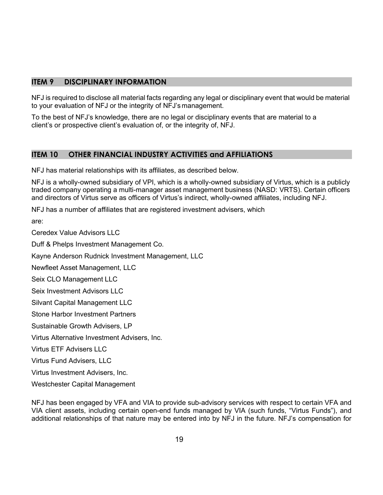## **ITEM 9 DISCIPLINARY INFORMATION**

NFJ is required to disclose all material facts regarding any legal or disciplinary event that would be material to your evaluation of NFJ or the integrity of NFJ's management.

To the best of NFJ's knowledge, there are no legal or disciplinary events that are material to a client's or prospective client's evaluation of, or the integrity of, NFJ.

## **ITEM 10 OTHER FINANCIAL INDUSTRY ACTIVITIES and AFFILIATIONS**

NFJ has material relationships with its affiliates, as described below.

NFJ is a wholly-owned subsidiary of VPI, which is a wholly-owned subsidiary of Virtus, which is a publicly traded company operating a multi-manager asset management business (NASD: VRTS). Certain officers and directors of Virtus serve as officers of Virtus's indirect, wholly-owned affiliates, including NFJ.

NFJ has a number of affiliates that are registered investment advisers, which

are:

Ceredex Value Advisors LLC

Duff & Phelps Investment Management Co.

Kayne Anderson Rudnick Investment Management, LLC

Newfleet Asset Management, LLC

Seix CLO Management LLC

Seix Investment Advisors LLC

Silvant Capital Management LLC

Stone Harbor Investment Partners

Sustainable Growth Advisers, LP

Virtus Alternative Investment Advisers, Inc.

Virtus ETF Advisers LLC

Virtus Fund Advisers, LLC

Virtus Investment Advisers, Inc.

Westchester Capital Management

NFJ has been engaged by VFA and VIA to provide sub-advisory services with respect to certain VFA and VIA client assets, including certain open-end funds managed by VIA (such funds, "Virtus Funds"), and additional relationships of that nature may be entered into by NFJ in the future. NFJ's compensation for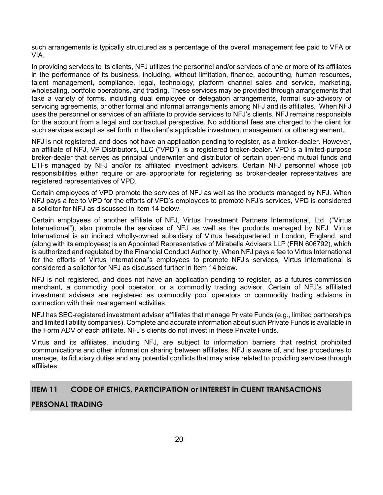such arrangements is typically structured as a percentage of the overall management fee paid to VFA or VIA.

In providing services to its clients, NFJ utilizes the personnel and/or services of one or more of its affiliates in the performance of its business, including, without limitation, finance, accounting, human resources, talent management, compliance, legal, technology, platform channel sales and service, marketing, wholesaling, portfolio operations, and trading. These services may be provided through arrangements that take a variety of forms, including dual employee or delegation arrangements, formal sub-advisory or servicing agreements, or other formal and informal arrangements among NFJ and its affiliates. When NFJ uses the personnel or services of an affiliate to provide services to NFJ's clients, NFJ remains responsible for the account from a legal and contractual perspective. No additional fees are charged to the client for such services except as set forth in the client's applicable investment management or other agreement.

NFJ is not registered, and does not have an application pending to register, as a broker-dealer. However, an affiliate of NFJ, VP Distributors, LLC ("VPD"), is a registered broker-dealer. VPD is a limited-purpose broker-dealer that serves as principal underwriter and distributor of certain open-end mutual funds and ETFs managed by NFJ and/or its affiliated investment advisers. Certain NFJ personnel whose job responsibilities either require or are appropriate for registering as broker-dealer representatives are registered representatives of VPD.

Certain employees of VPD promote the services of NFJ as well as the products managed by NFJ. When NFJ pays a fee to VPD for the efforts of VPD's employees to promote NFJ's services, VPD is considered a solicitor for NFJ as discussed in Item 14 below.

Certain employees of another affiliate of NFJ, Virtus Investment Partners International, Ltd. ("Virtus International"), also promote the services of NFJ as well as the products managed by NFJ. Virtus International is an indirect wholly-owned subsidiary of Virtus headquartered in London, England, and (along with its employees) is an Appointed Representative of Mirabella Advisers LLP (FRN 606792), which is authorized and regulated by the Financial Conduct Authority. When NFJ pays a fee to Virtus International for the efforts of Virtus International's employees to promote NFJ's services, Virtus International is considered a solicitor for NFJ as discussed further in Item 14 below.

NFJ is not registered, and does not have an application pending to register, as a futures commission merchant, a commodity pool operator, or a commodity trading advisor. Certain of NFJ's affiliated investment advisers are registered as commodity pool operators or commodity trading advisors in connection with their management activities.

NFJ has SEC-registered investment adviser affiliates that manage Private Funds (e.g., limited partnerships and limited liability companies). Complete and accurate information about such Private Funds is available in the Form ADV of each affiliate. NFJ's clients do not invest in these Private Funds.

Virtus and its affiliates, including NFJ, are subject to information barriers that restrict prohibited communications and other information sharing between affiliates. NFJ is aware of, and has procedures to manage, its fiduciary duties and any potential conflicts that may arise related to providing services through affiliates.

## **ITEM 11 CODE OF ETHICS, PARTICIPATION or INTEREST in CLIENT TRANSACTIONS**

## **PERSONAL TRADING**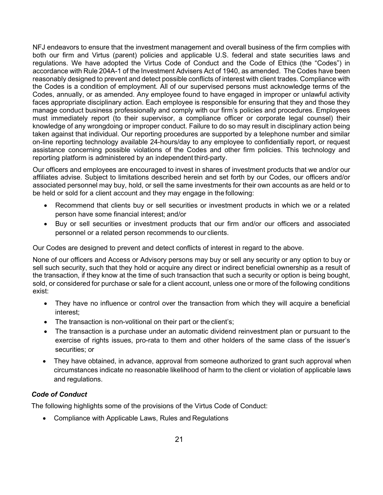NFJ endeavors to ensure that the investment management and overall business of the firm complies with both our firm and Virtus (parent) policies and applicable U.S. federal and state securities laws and regulations. We have adopted the Virtus Code of Conduct and the Code of Ethics (the "Codes") in accordance with Rule 204A-1 of the Investment Advisers Act of 1940, as amended. The Codes have been reasonably designed to prevent and detect possible conflicts of interest with client trades. Compliance with the Codes is a condition of employment. All of our supervised persons must acknowledge terms of the Codes, annually, or as amended. Any employee found to have engaged in improper or unlawful activity faces appropriate disciplinary action. Each employee is responsible for ensuring that they and those they manage conduct business professionally and comply with our firm's policies and procedures. Employees must immediately report (to their supervisor, a compliance officer or corporate legal counsel) their knowledge of any wrongdoing or improper conduct. Failure to do so may result in disciplinary action being taken against that individual. Our reporting procedures are supported by a telephone number and similar on-line reporting technology available 24-hours/day to any employee to confidentially report, or request assistance concerning possible violations of the Codes and other firm policies. This technology and reporting platform is administered by an independent third-party.

Our officers and employees are encouraged to invest in shares of investment products that we and/or our affiliates advise. Subject to limitations described herein and set forth by our Codes, our officers and/or associated personnel may buy, hold, or sell the same investments for their own accounts as are held or to be held or sold for a client account and they may engage in the following:

- Recommend that clients buy or sell securities or investment products in which we or a related person have some financial interest; and/or
- Buy or sell securities or investment products that our firm and/or our officers and associated personnel or a related person recommends to our clients.

Our Codes are designed to prevent and detect conflicts of interest in regard to the above.

None of our officers and Access or Advisory persons may buy or sell any security or any option to buy or sell such security, such that they hold or acquire any direct or indirect beneficial ownership as a result of the transaction, if they know at the time of such transaction that such a security or option is being bought, sold, or considered for purchase or sale for a client account, unless one or more of the following conditions exist:

- They have no influence or control over the transaction from which they will acquire a beneficial interest;
- The transaction is non-volitional on their part or the client's;
- The transaction is a purchase under an automatic dividend reinvestment plan or pursuant to the exercise of rights issues, pro-rata to them and other holders of the same class of the issuer's securities; or
- They have obtained, in advance, approval from someone authorized to grant such approval when circumstances indicate no reasonable likelihood of harm to the client or violation of applicable laws and regulations.

## *Code of Conduct*

The following highlights some of the provisions of the Virtus Code of Conduct:

• Compliance with Applicable Laws, Rules and Regulations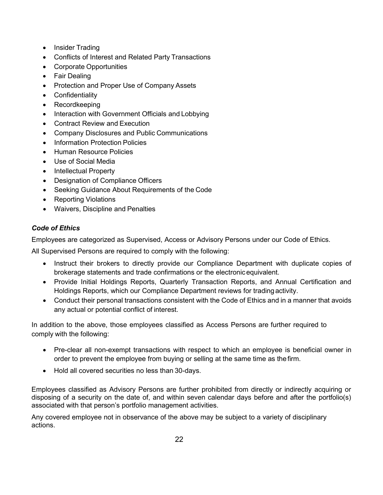- Insider Trading
- Conflicts of Interest and Related Party Transactions
- Corporate Opportunities
- Fair Dealing
- Protection and Proper Use of Company Assets
- Confidentiality
- Recordkeeping
- Interaction with Government Officials and Lobbying
- Contract Review and Execution
- Company Disclosures and Public Communications
- Information Protection Policies
- Human Resource Policies
- Use of Social Media
- Intellectual Property
- Designation of Compliance Officers
- Seeking Guidance About Requirements of the Code
- Reporting Violations
- Waivers, Discipline and Penalties

## *Code of Ethics*

Employees are categorized as Supervised, Access or Advisory Persons under our Code of Ethics.

All Supervised Persons are required to comply with the following:

- Instruct their brokers to directly provide our Compliance Department with duplicate copies of brokerage statements and trade confirmations or the electronicequivalent.
- Provide Initial Holdings Reports, Quarterly Transaction Reports, and Annual Certification and Holdings Reports, which our Compliance Department reviews for tradingactivity.
- Conduct their personal transactions consistent with the Code of Ethics and in a manner that avoids any actual or potential conflict of interest.

In addition to the above, those employees classified as Access Persons are further required to comply with the following:

- Pre-clear all non-exempt transactions with respect to which an employee is beneficial owner in order to prevent the employee from buying or selling at the same time as the firm.
- Hold all covered securities no less than 30-days.

Employees classified as Advisory Persons are further prohibited from directly or indirectly acquiring or disposing of a security on the date of, and within seven calendar days before and after the portfolio(s) associated with that person's portfolio management activities.

Any covered employee not in observance of the above may be subject to a variety of disciplinary actions.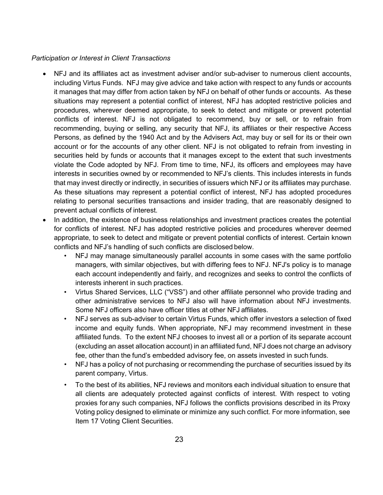## *Participation or Interest in Client Transactions*

- NFJ and its affiliates act as investment adviser and/or sub-adviser to numerous client accounts, including Virtus Funds. NFJ may give advice and take action with respect to any funds or accounts it manages that may differ from action taken by NFJ on behalf of other funds or accounts. As these situations may represent a potential conflict of interest, NFJ has adopted restrictive policies and procedures, wherever deemed appropriate, to seek to detect and mitigate or prevent potential conflicts of interest. NFJ is not obligated to recommend, buy or sell, or to refrain from recommending, buying or selling, any security that NFJ, its affiliates or their respective Access Persons, as defined by the 1940 Act and by the Advisers Act, may buy or sell for its or their own account or for the accounts of any other client. NFJ is not obligated to refrain from investing in securities held by funds or accounts that it manages except to the extent that such investments violate the Code adopted by NFJ. From time to time, NFJ, its officers and employees may have interests in securities owned by or recommended to NFJ's clients. This includes interests in funds that may invest directly or indirectly, in securities of issuers which NFJ or its affiliates may purchase. As these situations may represent a potential conflict of interest, NFJ has adopted procedures relating to personal securities transactions and insider trading, that are reasonably designed to prevent actual conflicts of interest.
- In addition, the existence of business relationships and investment practices creates the potential for conflicts of interest. NFJ has adopted restrictive policies and procedures wherever deemed appropriate, to seek to detect and mitigate or prevent potential conflicts of interest. Certain known conflicts and NFJ's handling of such conflicts are disclosed below.
	- NFJ may manage simultaneously parallel accounts in some cases with the same portfolio managers, with similar objectives, but with differing fees to NFJ. NFJ's policy is to manage each account independently and fairly, and recognizes and seeks to control the conflicts of interests inherent in such practices.
	- Virtus Shared Services, LLC ("VSS") and other affiliate personnel who provide trading and other administrative services to NFJ also will have information about NFJ investments. Some NFJ officers also have officer titles at other NFJ affiliates.
	- NFJ serves as sub-adviser to certain Virtus Funds, which offer investors a selection of fixed income and equity funds. When appropriate, NFJ may recommend investment in these affiliated funds. To the extent NFJ chooses to invest all or a portion of its separate account (excluding an asset allocation account) in an affiliated fund, NFJ does not charge an advisory fee, other than the fund's embedded advisory fee, on assets invested in such funds.
	- NFJ has a policy of not purchasing or recommending the purchase of securities issued by its parent company, Virtus.
	- To the best of its abilities, NFJ reviews and monitors each individual situation to ensure that all clients are adequately protected against conflicts of interest. With respect to voting proxies forany such companies, NFJ follows the conflicts provisions described in its Proxy Voting policy designed to eliminate or minimize any such conflict. For more information, see Item 17 Voting Client Securities.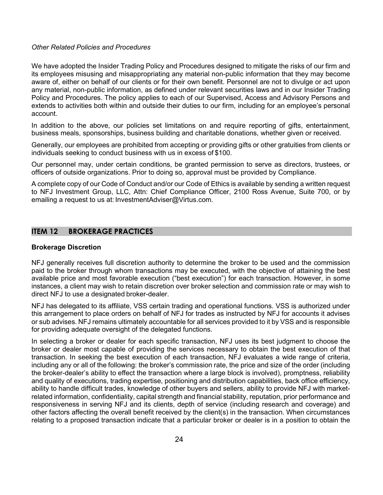#### *Other Related Policies and Procedures*

We have adopted the Insider Trading Policy and Procedures designed to mitigate the risks of our firm and its employees misusing and misappropriating any material non-public information that they may become aware of, either on behalf of our clients or for their own benefit. Personnel are not to divulge or act upon any material, non-public information, as defined under relevant securities laws and in our Insider Trading Policy and Procedures. The policy applies to each of our Supervised, Access and Advisory Persons and extends to activities both within and outside their duties to our firm, including for an employee's personal account.

In addition to the above, our policies set limitations on and require reporting of gifts, entertainment, business meals, sponsorships, business building and charitable donations, whether given or received.

Generally, our employees are prohibited from accepting or providing gifts or other gratuities from clients or individuals seeking to conduct business with us in excess of \$100.

Our personnel may, under certain conditions, be granted permission to serve as directors, trustees, or officers of outside organizations. Prior to doing so, approval must be provided by Compliance.

A complete copy of our Code of Conduct and/or our Code of Ethics is available by sending a written request to NFJ Investment Group, LLC, Attn: Chief Compliance Officer, 2100 Ross Avenue, Suite 700, or by emailing a request to us at: [InvestmentAdviser@Virtus.com.](mailto:InvestmentAdviser@Virtus.com)

## **ITEM 12 BROKERAGE PRACTICES**

#### **Brokerage Discretion**

NFJ generally receives full discretion authority to determine the broker to be used and the commission paid to the broker through whom transactions may be executed, with the objective of attaining the best available price and most favorable execution ("best execution") for each transaction. However, in some instances, a client may wish to retain discretion over broker selection and commission rate or may wish to direct NFJ to use a designated broker-dealer.

NFJ has delegated to its affiliate, VSS certain trading and operational functions. VSS is authorized under this arrangement to place orders on behalf of NFJ for trades as instructed by NFJ for accounts it advises or sub advises. NFJ remains ultimately accountable for all services provided to it by VSS and is responsible for providing adequate oversight of the delegated functions.

In selecting a broker or dealer for each specific transaction, NFJ uses its best judgment to choose the broker or dealer most capable of providing the services necessary to obtain the best execution of that transaction. In seeking the best execution of each transaction, NFJ evaluates a wide range of criteria, including any or all of the following: the broker's commission rate, the price and size of the order (including the broker-dealer's ability to effect the transaction where a large block is involved), promptness, reliability and quality of executions, trading expertise, positioning and distribution capabilities, back office efficiency, ability to handle difficult trades, knowledge of other buyers and sellers, ability to provide NFJ with marketrelated information, confidentiality, capital strength and financial stability, reputation, prior performance and responsiveness in serving NFJ and its clients, depth of service (including research and coverage) and other factors affecting the overall benefit received by the client(s) in the transaction. When circumstances relating to a proposed transaction indicate that a particular broker or dealer is in a position to obtain the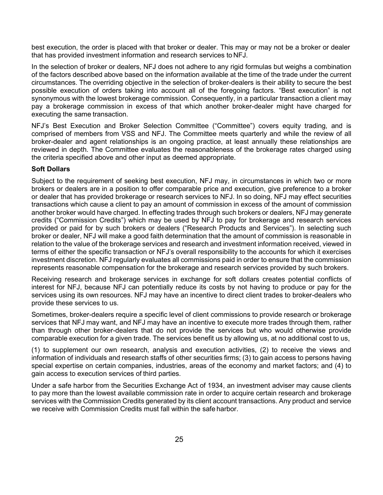best execution, the order is placed with that broker or dealer. This may or may not be a broker or dealer that has provided investment information and research services to NFJ.

In the selection of broker or dealers, NFJ does not adhere to any rigid formulas but weighs a combination of the factors described above based on the information available at the time of the trade under the current circumstances. The overriding objective in the selection of broker-dealers is their ability to secure the best possible execution of orders taking into account all of the foregoing factors. "Best execution" is not synonymous with the lowest brokerage commission. Consequently, in a particular transaction a client may pay a brokerage commission in excess of that which another broker-dealer might have charged for executing the same transaction.

NFJ's Best Execution and Broker Selection Committee ("Committee") covers equity trading, and is comprised of members from VSS and NFJ. The Committee meets quarterly and while the review of all broker-dealer and agent relationships is an ongoing practice, at least annually these relationships are reviewed in depth. The Committee evaluates the reasonableness of the brokerage rates charged using the criteria specified above and other input as deemed appropriate.

## **Soft Dollars**

Subject to the requirement of seeking best execution, NFJ may, in circumstances in which two or more brokers or dealers are in a position to offer comparable price and execution, give preference to a broker or dealer that has provided brokerage or research services to NFJ. In so doing, NFJ may effect securities transactions which cause a client to pay an amount of commission in excess of the amount of commission another broker would have charged. In effecting trades through such brokers or dealers, NFJ may generate credits ("Commission Credits") which may be used by NFJ to pay for brokerage and research services provided or paid for by such brokers or dealers ("Research Products and Services"). In selecting such broker or dealer, NFJ will make a good faith determination that the amount of commission is reasonable in relation to the value of the brokerage services and research and investment information received, viewed in terms of either the specific transaction or NFJ's overall responsibility to the accounts for which it exercises investment discretion. NFJ regularly evaluates all commissions paid in order to ensure that the commission represents reasonable compensation for the brokerage and research services provided by such brokers.

Receiving research and brokerage services in exchange for soft dollars creates potential conflicts of interest for NFJ, because NFJ can potentially reduce its costs by not having to produce or pay for the services using its own resources. NFJ may have an incentive to direct client trades to broker-dealers who provide these services to us.

Sometimes, broker-dealers require a specific level of client commissions to provide research or brokerage services that NFJ may want, and NFJ may have an incentive to execute more trades through them, rather than through other broker-dealers that do not provide the services but who would otherwise provide comparable execution for a given trade. The services benefit us by allowing us, at no additional cost to us,

(1) to supplement our own research, analysis and execution activities, (2) to receive the views and information of individuals and research staffs of other securities firms; (3) to gain access to persons having special expertise on certain companies, industries, areas of the economy and market factors; and (4) to gain access to execution services of third parties.

Under a safe harbor from the Securities Exchange Act of 1934, an investment adviser may cause clients to pay more than the lowest available commission rate in order to acquire certain research and brokerage services with the Commission Credits generated by its client account transactions. Any product and service we receive with Commission Credits must fall within the safe harbor.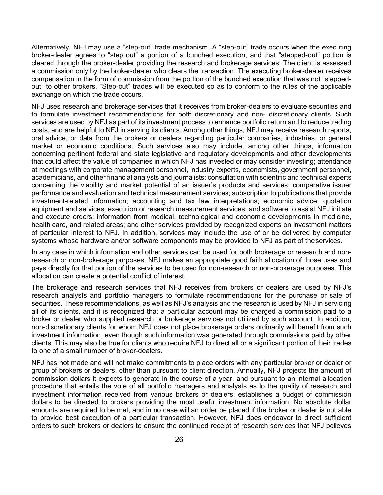Alternatively, NFJ may use a "step-out" trade mechanism. A "step-out" trade occurs when the executing broker-dealer agrees to "step out" a portion of a bunched execution, and that "stepped-out" portion is cleared through the broker-dealer providing the research and brokerage services. The client is assessed a commission only by the broker-dealer who clears the transaction. The executing broker-dealer receives compensation in the form of commission from the portion of the bunched execution that was not "steppedout" to other brokers. "Step-out" trades will be executed so as to conform to the rules of the applicable exchange on which the trade occurs.

NFJ uses research and brokerage services that it receives from broker-dealers to evaluate securities and to formulate investment recommendations for both discretionary and non- discretionary clients. Such services are used by NFJ as part of its investment process to enhance portfolio return and to reduce trading costs, and are helpful to NFJ in serving its clients. Among other things, NFJ may receive research reports, oral advice, or data from the brokers or dealers regarding particular companies, industries, or general market or economic conditions. Such services also may include, among other things, information concerning pertinent federal and state legislative and regulatory developments and other developments that could affect the value of companies in which NFJ has invested or may consider investing; attendance at meetings with corporate management personnel, industry experts, economists, government personnel, academicians, and other financial analysts and journalists; consultation with scientific and technical experts concerning the viability and market potential of an issuer's products and services; comparative issuer performance and evaluation and technical measurement services; subscription to publications that provide investment-related information; accounting and tax law interpretations; economic advice; quotation equipment and services; execution or research measurement services; and software to assist NFJ initiate and execute orders; information from medical, technological and economic developments in medicine, health care, and related areas; and other services provided by recognized experts on investment matters of particular interest to NFJ. In addition, services may include the use of or be delivered by computer systems whose hardware and/or software components may be provided to NFJ as part of theservices.

In any case in which information and other services can be used for both brokerage or research and nonresearch or non-brokerage purposes, NFJ makes an appropriate good faith allocation of those uses and pays directly for that portion of the services to be used for non-research or non-brokerage purposes. This allocation can create a potential conflict of interest.

The brokerage and research services that NFJ receives from brokers or dealers are used by NFJ's research analysts and portfolio managers to formulate recommendations for the purchase or sale of securities. These recommendations, as well as NFJ's analysis and the research is used by NFJ in servicing all of its clients, and it is recognized that a particular account may be charged a commission paid to a broker or dealer who supplied research or brokerage services not utilized by such account. In addition, non-discretionary clients for whom NFJ does not place brokerage orders ordinarily will benefit from such investment information, even though such information was generated through commissions paid by other clients. This may also be true for clients who require NFJ to direct all or a significant portion of their trades to one of a small number of broker-dealers.

NFJ has not made and will not make commitments to place orders with any particular broker or dealer or group of brokers or dealers, other than pursuant to client direction. Annually, NFJ projects the amount of commission dollars it expects to generate in the course of a year, and pursuant to an internal allocation procedure that entails the vote of all portfolio managers and analysts as to the quality of research and investment information received from various brokers or dealers, establishes a budget of commission dollars to be directed to brokers providing the most useful investment information. No absolute dollar amounts are required to be met, and in no case will an order be placed if the broker or dealer is not able to provide best execution of a particular transaction. However, NFJ does endeavor to direct sufficient orders to such brokers or dealers to ensure the continued receipt of research services that NFJ believes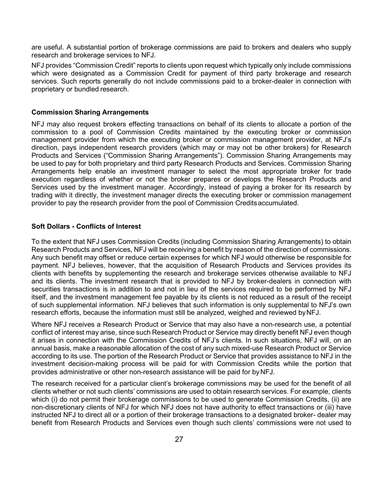are useful. A substantial portion of brokerage commissions are paid to brokers and dealers who supply research and brokerage services to NFJ.

NFJ provides "Commission Credit" reports to clients upon request which typically only include commissions which were designated as a Commission Credit for payment of third party brokerage and research services. Such reports generally do not include commissions paid to a broker-dealer in connection with proprietary or bundled research.

#### **Commission Sharing Arrangements**

NFJ may also request brokers effecting transactions on behalf of its clients to allocate a portion of the commission to a pool of Commission Credits maintained by the executing broker or commission management provider from which the executing broker or commission management provider, at NFJ's direction, pays independent research providers (which may or may not be other brokers) for Research Products and Services ("Commission Sharing Arrangements"). Commission Sharing Arrangements may be used to pay for both proprietary and third party Research Products and Services. Commission Sharing Arrangements help enable an investment manager to select the most appropriate broker for trade execution regardless of whether or not the broker prepares or develops the Research Products and Services used by the investment manager. Accordingly, instead of paying a broker for its research by trading with it directly, the investment manager directs the executing broker or commission management provider to pay the research provider from the pool of Commission Creditsaccumulated.

#### **Soft Dollars - Conflicts of Interest**

To the extent that NFJ uses Commission Credits (including Commission Sharing Arrangements) to obtain Research Products and Services, NFJ will be receiving a benefit by reason of the direction of commissions. Any such benefit may offset or reduce certain expenses for which NFJ would otherwise be responsible for payment. NFJ believes, however, that the acquisition of Research Products and Services provides its clients with benefits by supplementing the research and brokerage services otherwise available to NFJ and its clients. The investment research that is provided to NFJ by broker-dealers in connection with securities transactions is in addition to and not in lieu of the services required to be performed by NFJ itself, and the investment management fee payable by its clients is not reduced as a result of the receipt of such supplemental information. NFJ believes that such information is only supplemental to NFJ's own research efforts, because the information must still be analyzed, weighed and reviewed byNFJ.

Where NFJ receives a Research Product or Service that may also have a non-research use, a potential conflict of interest may arise, since such Research Product or Service may directly benefit NFJ even though it arises in connection with the Commission Credits of NFJ's clients. In such situations, NFJ will, on an annual basis, make a reasonable allocation of the cost of any such mixed-use Research Product or Service according to its use. The portion of the Research Product or Service that provides assistance to NFJ in the investment decision-making process will be paid for with Commission Credits while the portion that provides administrative or other non-research assistance will be paid for byNFJ.

The research received for a particular client's brokerage commissions may be used for the benefit of all clients whether or not such clients' commissions are used to obtain research services. For example, clients which (i) do not permit their brokerage commissions to be used to generate Commission Credits, (ii) are non-discretionary clients of NFJ for which NFJ does not have authority to effect transactions or (iii) have instructed NFJ to direct all or a portion of their brokerage transactions to a designated broker- dealer may benefit from Research Products and Services even though such clients' commissions were not used to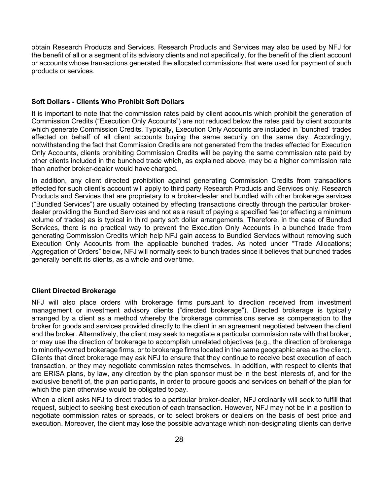obtain Research Products and Services. Research Products and Services may also be used by NFJ for the benefit of all or a segment of its advisory clients and not specifically, for the benefit of the client account or accounts whose transactions generated the allocated commissions that were used for payment of such products or services.

#### **Soft Dollars - Clients Who Prohibit Soft Dollars**

It is important to note that the commission rates paid by client accounts which prohibit the generation of Commission Credits ("Execution Only Accounts") are not reduced below the rates paid by client accounts which generate Commission Credits. Typically, Execution Only Accounts are included in "bunched" trades effected on behalf of all client accounts buying the same security on the same day. Accordingly, notwithstanding the fact that Commission Credits are not generated from the trades effected for Execution Only Accounts, clients prohibiting Commission Credits will be paying the same commission rate paid by other clients included in the bunched trade which, as explained above, may be a higher commission rate than another broker-dealer would have charged.

In addition, any client directed prohibition against generating Commission Credits from transactions effected for such client's account will apply to third party Research Products and Services only. Research Products and Services that are proprietary to a broker-dealer and bundled with other brokerage services ("Bundled Services") are usually obtained by effecting transactions directly through the particular brokerdealer providing the Bundled Services and not as a result of paying a specified fee (or effecting a minimum volume of trades) as is typical in third party soft dollar arrangements. Therefore, in the case of Bundled Services, there is no practical way to prevent the Execution Only Accounts in a bunched trade from generating Commission Credits which help NFJ gain access to Bundled Services without removing such Execution Only Accounts from the applicable bunched trades. As noted under "Trade Allocations; Aggregation of Orders" below, NFJ will normally seek to bunch trades since it believes that bunched trades generally benefit its clients, as a whole and over time.

#### **Client Directed Brokerage**

NFJ will also place orders with brokerage firms pursuant to direction received from investment management or investment advisory clients ("directed brokerage"). Directed brokerage is typically arranged by a client as a method whereby the brokerage commissions serve as compensation to the broker for goods and services provided directly to the client in an agreement negotiated between the client and the broker. Alternatively, the client may seek to negotiate a particular commission rate with that broker, or may use the direction of brokerage to accomplish unrelated objectives (e.g., the direction of brokerage to minority-owned brokerage firms, or to brokerage firms located in the same geographic area as the client). Clients that direct brokerage may ask NFJ to ensure that they continue to receive best execution of each transaction, or they may negotiate commission rates themselves. In addition, with respect to clients that are ERISA plans, by law, any direction by the plan sponsor must be in the best interests of, and for the exclusive benefit of, the plan participants, in order to procure goods and services on behalf of the plan for which the plan otherwise would be obligated to pay.

When a client asks NFJ to direct trades to a particular broker-dealer, NFJ ordinarily will seek to fulfill that request, subject to seeking best execution of each transaction. However, NFJ may not be in a position to negotiate commission rates or spreads, or to select brokers or dealers on the basis of best price and execution. Moreover, the client may lose the possible advantage which non-designating clients can derive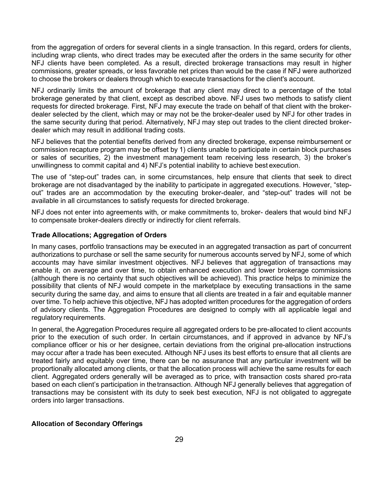from the aggregation of orders for several clients in a single transaction. In this regard, orders for clients, including wrap clients, who direct trades may be executed after the orders in the same security for other NFJ clients have been completed. As a result, directed brokerage transactions may result in higher commissions, greater spreads, or less favorable net prices than would be the case if NFJ were authorized to choose the brokers or dealers through which to execute transactions for the client's account.

NFJ ordinarily limits the amount of brokerage that any client may direct to a percentage of the total brokerage generated by that client, except as described above. NFJ uses two methods to satisfy client requests for directed brokerage. First, NFJ may execute the trade on behalf of that client with the brokerdealer selected by the client, which may or may not be the broker-dealer used by NFJ for other trades in the same security during that period. Alternatively, NFJ may step out trades to the client directed brokerdealer which may result in additional trading costs.

NFJ believes that the potential benefits derived from any directed brokerage, expense reimbursement or commission recapture program may be offset by 1) clients unable to participate in certain block purchases or sales of securities, 2) the investment management team receiving less research, 3) the broker's unwillingness to commit capital and 4) NFJ's potential inability to achieve best execution.

The use of "step-out" trades can, in some circumstances, help ensure that clients that seek to direct brokerage are not disadvantaged by the inability to participate in aggregated executions. However, "stepout" trades are an accommodation by the executing broker-dealer, and "step-out" trades will not be available in all circumstances to satisfy requests for directed brokerage.

NFJ does not enter into agreements with, or make commitments to, broker- dealers that would bind NFJ to compensate broker-dealers directly or indirectly for client referrals.

#### **Trade Allocations; Aggregation of Orders**

In many cases, portfolio transactions may be executed in an aggregated transaction as part of concurrent authorizations to purchase or sell the same security for numerous accounts served by NFJ, some of which accounts may have similar investment objectives. NFJ believes that aggregation of transactions may enable it, on average and over time, to obtain enhanced execution and lower brokerage commissions (although there is no certainty that such objectives will be achieved). This practice helps to minimize the possibility that clients of NFJ would compete in the marketplace by executing transactions in the same security during the same day, and aims to ensure that all clients are treated in a fair and equitable manner over time. To help achieve this objective, NFJ has adopted written procedures for the aggregation of orders of advisory clients. The Aggregation Procedures are designed to comply with all applicable legal and regulatory requirements.

In general, the Aggregation Procedures require all aggregated orders to be pre-allocated to client accounts prior to the execution of such order. In certain circumstances, and if approved in advance by NFJ's compliance officer or his or her designee, certain deviations from the original pre-allocation instructions may occur after a trade has been executed. Although NFJ uses its best efforts to ensure that all clients are treated fairly and equitably over time, there can be no assurance that any particular investment will be proportionally allocated among clients, or that the allocation process will achieve the same results for each client. Aggregated orders generally will be averaged as to price, with transaction costs shared pro-rata based on each client's participation in thetransaction. Although NFJ generally believes that aggregation of transactions may be consistent with its duty to seek best execution, NFJ is not obligated to aggregate orders into larger transactions.

## **Allocation of Secondary Offerings**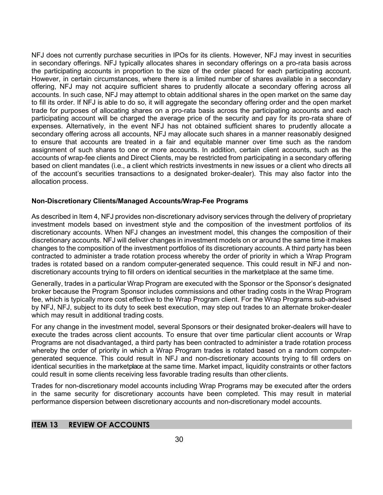NFJ does not currently purchase securities in IPOs for its clients. However, NFJ may invest in securities in secondary offerings. NFJ typically allocates shares in secondary offerings on a pro-rata basis across the participating accounts in proportion to the size of the order placed for each participating account. However, in certain circumstances, where there is a limited number of shares available in a secondary offering, NFJ may not acquire sufficient shares to prudently allocate a secondary offering across all accounts. In such case, NFJ may attempt to obtain additional shares in the open market on the same day to fill its order. If NFJ is able to do so, it will aggregate the secondary offering order and the open market trade for purposes of allocating shares on a pro-rata basis across the participating accounts and each participating account will be charged the average price of the security and pay for its pro-rata share of expenses. Alternatively, in the event NFJ has not obtained sufficient shares to prudently allocate a secondary offering across all accounts, NFJ may allocate such shares in a manner reasonably designed to ensure that accounts are treated in a fair and equitable manner over time such as the random assignment of such shares to one or more accounts. In addition, certain client accounts, such as the accounts of wrap-fee clients and Direct Clients, may be restricted from participating in a secondary offering based on client mandates (i.e., a client which restricts investments in new issues or a client who directs all of the account's securities transactions to a designated broker-dealer). This may also factor into the allocation process.

## **Non-Discretionary Clients/Managed Accounts/Wrap-Fee Programs**

As described in Item 4, NFJ provides non-discretionary advisory services through the delivery of proprietary investment models based on investment style and the composition of the investment portfolios of its discretionary accounts. When NFJ changes an investment model, this changes the composition of their discretionary accounts. NFJ will deliver changes in investment models on or around the same time it makes changes to the composition of the investment portfolios of its discretionary accounts. A third party has been contracted to administer a trade rotation process whereby the order of priority in which a Wrap Program trades is rotated based on a random computer-generated sequence. This could result in NFJ and nondiscretionary accounts trying to fill orders on identical securities in the marketplace at the same time.

Generally, trades in a particular Wrap Program are executed with the Sponsor or the Sponsor's designated broker because the Program Sponsor includes commissions and other trading costs in the Wrap Program fee, which is typically more cost effective to the Wrap Program client. For the Wrap Programs sub-advised by NFJ, NFJ, subject to its duty to seek best execution, may step out trades to an alternate broker-dealer which may result in additional trading costs.

For any change in the investment model, several Sponsors or their designated broker-dealers will have to execute the trades across client accounts. To ensure that over time particular client accounts or Wrap Programs are not disadvantaged, a third party has been contracted to administer a trade rotation process whereby the order of priority in which a Wrap Program trades is rotated based on a random computergenerated sequence. This could result in NFJ and non-discretionary accounts trying to fill orders on identical securities in the marketplace at the same time. Market impact, liquidity constraints or other factors could result in some clients receiving less favorable trading results than other clients.

Trades for non-discretionary model accounts including Wrap Programs may be executed after the orders in the same security for discretionary accounts have been completed. This may result in material performance dispersion between discretionary accounts and non-discretionary model accounts.

## **ITEM 13 REVIEW OF ACCOUNTS**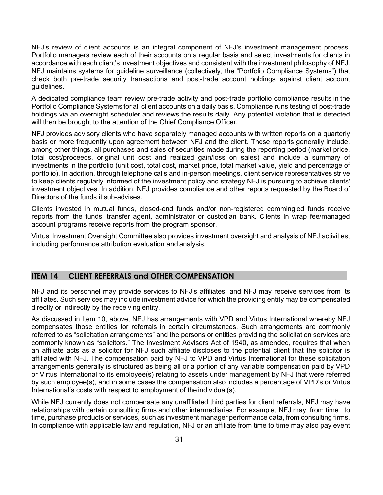NFJ's review of client accounts is an integral component of NFJ's investment management process. Portfolio managers review each of their accounts on a regular basis and select investments for clients in accordance with each client's investment objectives and consistent with the investment philosophy of NFJ. NFJ maintains systems for guideline surveillance (collectively, the "Portfolio Compliance Systems") that check both pre-trade security transactions and post-trade account holdings against client account guidelines.

A dedicated compliance team review pre-trade activity and post-trade portfolio compliance results in the Portfolio Compliance Systems for all client accounts on a daily basis. Compliance runs testing of post-trade holdings via an overnight scheduler and reviews the results daily. Any potential violation that is detected will then be brought to the attention of the Chief Compliance Officer.

NFJ provides advisory clients who have separately managed accounts with written reports on a quarterly basis or more frequently upon agreement between NFJ and the client. These reports generally include, among other things, all purchases and sales of securities made during the reporting period (market price, total cost/proceeds, original unit cost and realized gain/loss on sales) and include a summary of investments in the portfolio (unit cost, total cost, market price, total market value, yield and percentage of portfolio). In addition, through telephone calls and in-person meetings, client service representatives strive to keep clients regularly informed of the investment policy and strategy NFJ is pursuing to achieve clients' investment objectives. In addition, NFJ provides compliance and other reports requested by the Board of Directors of the funds it sub-advises.

Clients invested in mutual funds, closed-end funds and/or non-registered commingled funds receive reports from the funds' transfer agent, administrator or custodian bank. Clients in wrap fee/managed account programs receive reports from the program sponsor.

Virtus' Investment Oversight Committee also provides investment oversight and analysis of NFJ activities, including performance attribution evaluation and analysis.

## **ITEM 14 CLIENT REFERRALS and OTHER COMPENSATION**

NFJ and its personnel may provide services to NFJ's affiliates, and NFJ may receive services from its affiliates. Such services may include investment advice for which the providing entity may be compensated directly or indirectly by the receiving entity.

As discussed in Item 10, above, NFJ has arrangements with VPD and Virtus International whereby NFJ compensates those entities for referrals in certain circumstances. Such arrangements are commonly referred to as "solicitation arrangements" and the persons or entities providing the solicitation services are commonly known as "solicitors." The Investment Advisers Act of 1940, as amended, requires that when an affiliate acts as a solicitor for NFJ such affiliate discloses to the potential client that the solicitor is affiliated with NFJ. The compensation paid by NFJ to VPD and Virtus International for these solicitation arrangements generally is structured as being all or a portion of any variable compensation paid by VPD or Virtus International to its employee(s) relating to assets under management by NFJ that were referred by such employee(s), and in some cases the compensation also includes a percentage of VPD's or Virtus International's costs with respect to employment of the individual(s).

While NFJ currently does not compensate any unaffiliated third parties for client referrals, NFJ may have relationships with certain consulting firms and other intermediaries. For example, NFJ may, from time to time, purchase products or services, such as investment manager performance data, from consulting firms. In compliance with applicable law and regulation, NFJ or an affiliate from time to time may also pay event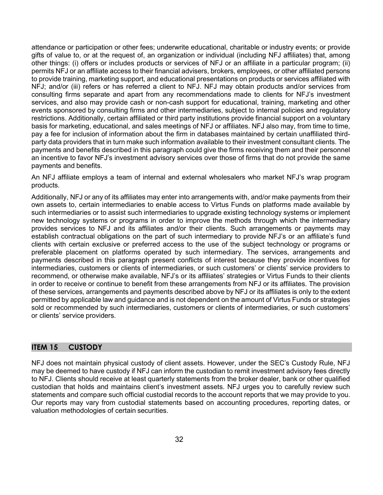attendance or participation or other fees; underwrite educational, charitable or industry events; or provide gifts of value to, or at the request of, an organization or individual (including NFJ affiliates) that, among other things: (i) offers or includes products or services of NFJ or an affiliate in a particular program; (ii) permits NFJ or an affiliate access to their financial advisers, brokers, employees, or other affiliated persons to provide training, marketing support, and educational presentations on products or services affiliated with NFJ; and/or (iii) refers or has referred a client to NFJ. NFJ may obtain products and/or services from consulting firms separate and apart from any recommendations made to clients for NFJ's investment services, and also may provide cash or non-cash support for educational, training, marketing and other events sponsored by consulting firms and other intermediaries, subject to internal policies and regulatory restrictions. Additionally, certain affiliated or third party institutions provide financial support on a voluntary basis for marketing, educational, and sales meetings of NFJ or affiliates. NFJ also may, from time to time, pay a fee for inclusion of information about the firm in databases maintained by certain unaffiliated thirdparty data providers that in turn make such information available to their investment consultant clients. The payments and benefits described in this paragraph could give the firms receiving them and their personnel an incentive to favor NFJ's investment advisory services over those of firms that do not provide the same payments and benefits.

An NFJ affiliate employs a team of internal and external wholesalers who market NFJ's wrap program products.

Additionally, NFJ or any of its affiliates may enter into arrangements with, and/or make payments from their own assets to, certain intermediaries to enable access to Virtus Funds on platforms made available by such intermediaries or to assist such intermediaries to upgrade existing technology systems or implement new technology systems or programs in order to improve the methods through which the intermediary provides services to NFJ and its affiliates and/or their clients. Such arrangements or payments may establish contractual obligations on the part of such intermediary to provide NFJ's or an affiliate's fund clients with certain exclusive or preferred access to the use of the subject technology or programs or preferable placement on platforms operated by such intermediary. The services, arrangements and payments described in this paragraph present conflicts of interest because they provide incentives for intermediaries, customers or clients of intermediaries, or such customers' or clients' service providers to recommend, or otherwise make available, NFJ's or its affiliates' strategies or Virtus Funds to their clients in order to receive or continue to benefit from these arrangements from NFJ or its affiliates. The provision of these services, arrangements and payments described above by NFJ or its affiliates is only to the extent permitted by applicable law and guidance and is not dependent on the amount of Virtus Funds or strategies sold or recommended by such intermediaries, customers or clients of intermediaries, or such customers' or clients' service providers.

## **ITEM 15 CUSTODY**

NFJ does not maintain physical custody of client assets. However, under the SEC's Custody Rule, NFJ may be deemed to have custody if NFJ can inform the custodian to remit investment advisory fees directly to NFJ. Clients should receive at least quarterly statements from the broker dealer, bank or other qualified custodian that holds and maintains client's investment assets. NFJ urges you to carefully review such statements and compare such official custodial records to the account reports that we may provide to you. Our reports may vary from custodial statements based on accounting procedures, reporting dates, or valuation methodologies of certain securities.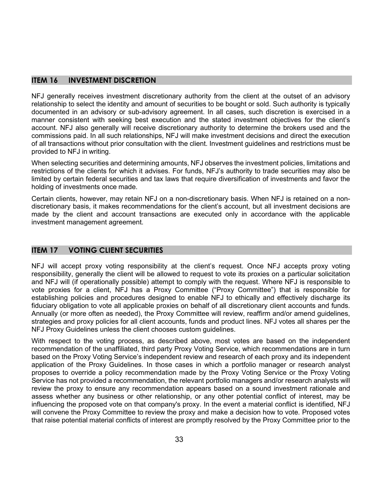## **ITEM 16 INVESTMENT DISCRETION**

NFJ generally receives investment discretionary authority from the client at the outset of an advisory relationship to select the identity and amount of securities to be bought or sold. Such authority is typically documented in an advisory or sub-advisory agreement. In all cases, such discretion is exercised in a manner consistent with seeking best execution and the stated investment objectives for the client's account. NFJ also generally will receive discretionary authority to determine the brokers used and the commissions paid. In all such relationships, NFJ will make investment decisions and direct the execution of all transactions without prior consultation with the client. Investment guidelines and restrictions must be provided to NFJ in writing.

When selecting securities and determining amounts, NFJ observes the investment policies, limitations and restrictions of the clients for which it advises. For funds, NFJ's authority to trade securities may also be limited by certain federal securities and tax laws that require diversification of investments and favor the holding of investments once made.

Certain clients, however, may retain NFJ on a non-discretionary basis. When NFJ is retained on a nondiscretionary basis, it makes recommendations for the client's account, but all investment decisions are made by the client and account transactions are executed only in accordance with the applicable investment management agreement.

## **ITEM 17 VOTING CLIENT SECURITIES**

NFJ will accept proxy voting responsibility at the client's request. Once NFJ accepts proxy voting responsibility, generally the client will be allowed to request to vote its proxies on a particular solicitation and NFJ will (if operationally possible) attempt to comply with the request. Where NFJ is responsible to vote proxies for a client, NFJ has a Proxy Committee ("Proxy Committee") that is responsible for establishing policies and procedures designed to enable NFJ to ethically and effectively discharge its fiduciary obligation to vote all applicable proxies on behalf of all discretionary client accounts and funds. Annually (or more often as needed), the Proxy Committee will review, reaffirm and/or amend guidelines, strategies and proxy policies for all client accounts, funds and product lines. NFJ votes all shares per the NFJ Proxy Guidelines unless the client chooses custom guidelines.

With respect to the voting process, as described above, most votes are based on the independent recommendation of the unaffiliated, third party Proxy Voting Service, which recommendations are in turn based on the Proxy Voting Service's independent review and research of each proxy and its independent application of the Proxy Guidelines. In those cases in which a portfolio manager or research analyst proposes to override a policy recommendation made by the Proxy Voting Service or the Proxy Voting Service has not provided a recommendation, the relevant portfolio managers and/or research analysts will review the proxy to ensure any recommendation appears based on a sound investment rationale and assess whether any business or other relationship, or any other potential conflict of interest, may be influencing the proposed vote on that company's proxy. In the event a material conflict is identified, NFJ will convene the Proxy Committee to review the proxy and make a decision how to vote. Proposed votes that raise potential material conflicts of interest are promptly resolved by the Proxy Committee prior to the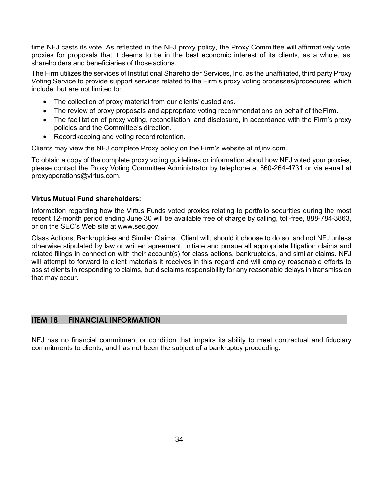time NFJ casts its vote. As reflected in the NFJ proxy policy, the Proxy Committee will affirmatively vote proxies for proposals that it deems to be in the best economic interest of its clients, as a whole, as shareholders and beneficiaries of those actions.

The Firm utilizes the services of Institutional Shareholder Services, Inc. as the unaffiliated, third party Proxy Voting Service to provide support services related to the Firm's proxy voting processes/procedures, which include: but are not limited to:

- The collection of proxy material from our clients' custodians.
- The review of proxy proposals and appropriate voting recommendations on behalf of the Firm.
- The facilitation of proxy voting, reconciliation, and disclosure, in accordance with the Firm's proxy policies and the Committee's direction.
- Recordkeeping and voting record retention.

Clients may view the NFJ complete Proxy policy on the Firm's website at nfjinv.com.

To obtain a copy of the complete proxy voting guidelines or information about how NFJ voted your proxies, please contact the Proxy Voting Committee Administrator by telephone at 860-264-4731 or via e-mail at [proxyoperations@virtus.com.](mailto:proxyoperations@virtus.com)

#### **Virtus Mutual Fund shareholders:**

Information regarding how the Virtus Funds voted proxies relating to portfolio securities during the most recent 12-month period ending June 30 will be available free of charge by calling, toll-free, 888-784-3863, or on the SEC's Web site at [www.sec.gov.](http://www.sec.gov/)

Class Actions, Bankruptcies and Similar Claims. Client will, should it choose to do so, and not NFJ unless otherwise stipulated by law or written agreement, initiate and pursue all appropriate litigation claims and related filings in connection with their account(s) for class actions, bankruptcies, and similar claims. NFJ will attempt to forward to client materials it receives in this regard and will employ reasonable efforts to assist clients in responding to claims, but disclaims responsibility for any reasonable delays in transmission that may occur.

## **ITEM 18 FINANCIAL INFORMATION**

NFJ has no financial commitment or condition that impairs its ability to meet contractual and fiduciary commitments to clients, and has not been the subject of a bankruptcy proceeding.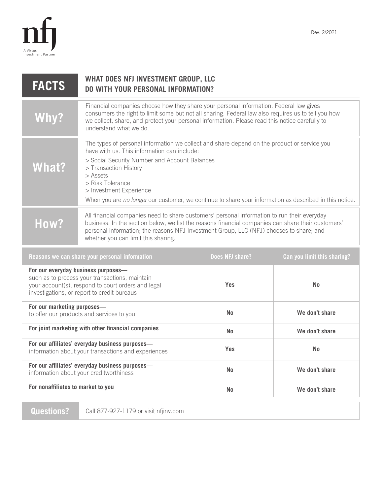

| <b>FACTS</b>                                                                                                                                                                               | WHAT DOES NFJ INVESTMENT GROUP, LLC<br><b>DO WITH YOUR PERSONAL INFORMATION?</b>                                                                                                                                                                                                                                                                                                           |                        |                             |
|--------------------------------------------------------------------------------------------------------------------------------------------------------------------------------------------|--------------------------------------------------------------------------------------------------------------------------------------------------------------------------------------------------------------------------------------------------------------------------------------------------------------------------------------------------------------------------------------------|------------------------|-----------------------------|
| Why?                                                                                                                                                                                       | Financial companies choose how they share your personal information. Federal law gives<br>consumers the right to limit some but not all sharing. Federal law also requires us to tell you how<br>we collect, share, and protect your personal information. Please read this notice carefully to<br>understand what we do.                                                                  |                        |                             |
| What?                                                                                                                                                                                      | The types of personal information we collect and share depend on the product or service you<br>have with us. This information can include:<br>> Social Security Number and Account Balances<br>> Transaction History<br>> Assets<br>> Risk Tolerance<br>> Investment Experience<br>When you are no longer our customer, we continue to share your information as described in this notice. |                        |                             |
| How?                                                                                                                                                                                       | All financial companies need to share customers' personal information to run their everyday<br>business. In the section below, we list the reasons financial companies can share their customers'<br>personal information; the reasons NFJ Investment Group, LLC (NFJ) chooses to share; and<br>whether you can limit this sharing.                                                        |                        |                             |
|                                                                                                                                                                                            | Reasons we can share your personal information                                                                                                                                                                                                                                                                                                                                             | <b>Does NFJ share?</b> | Can you limit this sharing? |
| For our everyday business purposes-<br>such as to process your transactions, maintain<br>your account(s), respond to court orders and legal<br>investigations, or report to credit bureaus |                                                                                                                                                                                                                                                                                                                                                                                            | Yes                    | <b>No</b>                   |
| For our marketing purposes-<br>to offer our products and services to you                                                                                                                   |                                                                                                                                                                                                                                                                                                                                                                                            | <b>No</b>              | We don't share              |
| For joint marketing with other financial companies                                                                                                                                         |                                                                                                                                                                                                                                                                                                                                                                                            | <b>No</b>              | We don't share              |
| For our affiliates' everyday business purposes-<br>information about your transactions and experiences                                                                                     |                                                                                                                                                                                                                                                                                                                                                                                            | Yes                    | <b>No</b>                   |
| For our affiliates' everyday business purposes-<br>information about your creditworthiness                                                                                                 |                                                                                                                                                                                                                                                                                                                                                                                            | <b>No</b>              | We don't share              |
| For nonaffiliates to market to you                                                                                                                                                         |                                                                                                                                                                                                                                                                                                                                                                                            | <b>No</b>              | We don't share              |

**Questions?** Call 877-927-1179 or visit nfjinv.com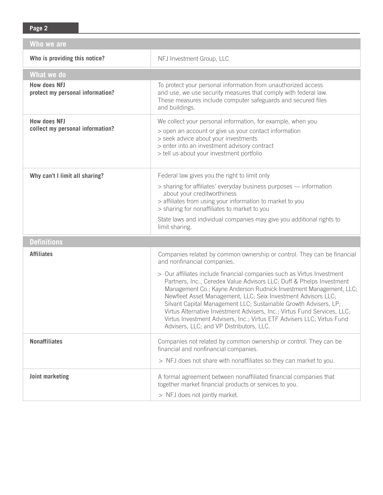| Who we are                                              |                                                                                                                                                                                                                                                                                                                                                                                                                                                                                                                                                             |  |  |  |
|---------------------------------------------------------|-------------------------------------------------------------------------------------------------------------------------------------------------------------------------------------------------------------------------------------------------------------------------------------------------------------------------------------------------------------------------------------------------------------------------------------------------------------------------------------------------------------------------------------------------------------|--|--|--|
| Who is providing this notice?                           | NFJ Investment Group, LLC                                                                                                                                                                                                                                                                                                                                                                                                                                                                                                                                   |  |  |  |
| What we do                                              |                                                                                                                                                                                                                                                                                                                                                                                                                                                                                                                                                             |  |  |  |
| <b>How does NFJ</b><br>protect my personal information? | To protect your personal information from unauthorized access<br>and use, we use security measures that comply with federal law.<br>These measures include computer safeguards and secured files<br>and buildings.                                                                                                                                                                                                                                                                                                                                          |  |  |  |
| <b>How does NFJ</b><br>collect my personal information? | We collect your personal information, for example, when you<br>> open an account or give us your contact information<br>> seek advice about your investments<br>> enter into an investment advisory contract<br>> tell us about your investment portfolio                                                                                                                                                                                                                                                                                                   |  |  |  |
| Why can't I limit all sharing?                          | Federal law gives you the right to limit only<br>> sharing for affiliates' everyday business purposes - information<br>about your creditworthiness<br>> affiliates from using your information to market to you<br>> sharing for nonaffiliates to market to you<br>State laws and individual companies may give you additional rights to<br>limit sharing.                                                                                                                                                                                                  |  |  |  |
| <b>Definitions</b>                                      |                                                                                                                                                                                                                                                                                                                                                                                                                                                                                                                                                             |  |  |  |
| <b>Affiliates</b>                                       | Companies related by common ownership or control. They can be financial<br>and nonfinancial companies.                                                                                                                                                                                                                                                                                                                                                                                                                                                      |  |  |  |
|                                                         | > Our affiliates include financial companies such as Virtus Investment<br>Partners, Inc., Ceredex Value Advisors LLC; Duff & Phelps Investment<br>Management Co.; Kayne Anderson Rudnick Investment Management, LLC;<br>Newfleet Asset Management, LLC; Seix Investment Advisors LLC;<br>Silvant Capital Management LLC; Sustainable Growth Advisers, LP;<br>Virtus Alternative Investment Advisers, Inc.; Virtus Fund Services, LLC;<br>Virtus Investment Advisers, Inc.; Virtus ETF Advisers LLC; Virtus Fund<br>Advisers, LLC; and VP Distributors, LLC. |  |  |  |
| <b>Nonaffiliates</b>                                    | Companies not related by common ownership or control. They can be<br>financial and nonfinancial companies.                                                                                                                                                                                                                                                                                                                                                                                                                                                  |  |  |  |
|                                                         | > NFJ does not share with nonaffiliates so they can market to you.                                                                                                                                                                                                                                                                                                                                                                                                                                                                                          |  |  |  |
| Joint marketing                                         | A formal agreement between nonaffiliated financial companies that<br>together market financial products or services to you.<br>> NFJ does not jointly market.                                                                                                                                                                                                                                                                                                                                                                                               |  |  |  |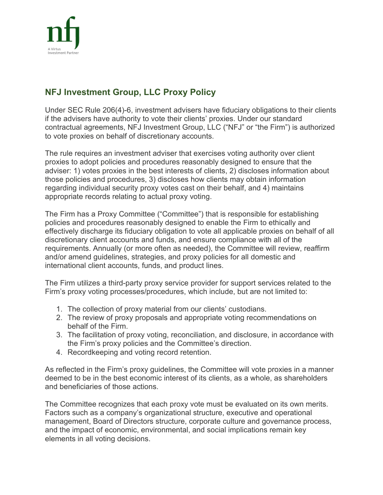

# **NFJ Investment Group, LLC Proxy Policy**

Under SEC Rule 206(4)-6, investment advisers have fiduciary obligations to their clients if the advisers have authority to vote their clients' proxies. Under our standard contractual agreements, NFJ Investment Group, LLC ("NFJ" or "the Firm") is authorized to vote proxies on behalf of discretionary accounts.

The rule requires an investment adviser that exercises voting authority over client proxies to adopt policies and procedures reasonably designed to ensure that the adviser: 1) votes proxies in the best interests of clients, 2) discloses information about those policies and procedures, 3) discloses how clients may obtain information regarding individual security proxy votes cast on their behalf, and 4) maintains appropriate records relating to actual proxy voting.

The Firm has a Proxy Committee ("Committee") that is responsible for establishing policies and procedures reasonably designed to enable the Firm to ethically and effectively discharge its fiduciary obligation to vote all applicable proxies on behalf of all discretionary client accounts and funds, and ensure compliance with all of the requirements. Annually (or more often as needed), the Committee will review, reaffirm and/or amend guidelines, strategies, and proxy policies for all domestic and international client accounts, funds, and product lines.

The Firm utilizes a third-party proxy service provider for support services related to the Firm's proxy voting processes/procedures, which include, but are not limited to:

- 1. The collection of proxy material from our clients' custodians.
- 2. The review of proxy proposals and appropriate voting recommendations on behalf of the Firm.
- 3. The facilitation of proxy voting, reconciliation, and disclosure, in accordance with the Firm's proxy policies and the Committee's direction.
- 4. Recordkeeping and voting record retention.

As reflected in the Firm's proxy guidelines, the Committee will vote proxies in a manner deemed to be in the best economic interest of its clients, as a whole, as shareholders and beneficiaries of those actions.

The Committee recognizes that each proxy vote must be evaluated on its own merits. Factors such as a company's organizational structure, executive and operational management, Board of Directors structure, corporate culture and governance process, and the impact of economic, environmental, and social implications remain key elements in all voting decisions.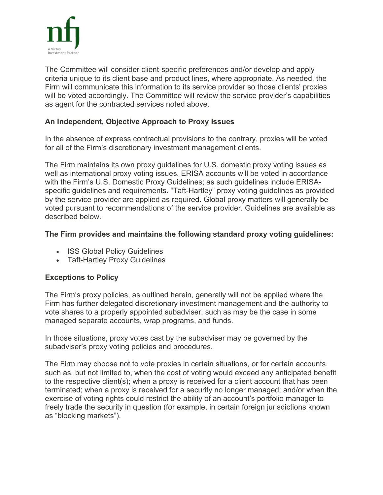

The Committee will consider client-specific preferences and/or develop and apply criteria unique to its client base and product lines, where appropriate. As needed, the Firm will communicate this information to its service provider so those clients' proxies will be voted accordingly. The Committee will review the service provider's capabilities as agent for the contracted services noted above.

## **An Independent, Objective Approach to Proxy Issues**

In the absence of express contractual provisions to the contrary, proxies will be voted for all of the Firm's discretionary investment management clients.

The Firm maintains its own proxy guidelines for U.S. domestic proxy voting issues as well as international proxy voting issues. ERISA accounts will be voted in accordance with the Firm's U.S. Domestic Proxy Guidelines; as such guidelines include ERISAspecific guidelines and requirements. "Taft-Hartley" proxy voting guidelines as provided by the service provider are applied as required. Global proxy matters will generally be voted pursuant to recommendations of the service provider. Guidelines are available as described below.

## **The Firm provides and maintains the following standard proxy voting guidelines:**

- ISS Global Policy Guidelines
- Taft-Hartley Proxy Guidelines

# **Exceptions to Policy**

The Firm's proxy policies, as outlined herein, generally will not be applied where the Firm has further delegated discretionary investment management and the authority to vote shares to a properly appointed subadviser, such as may be the case in some managed separate accounts, wrap programs, and funds.

In those situations, proxy votes cast by the subadviser may be governed by the subadviser's proxy voting policies and procedures.

The Firm may choose not to vote proxies in certain situations, or for certain accounts, such as, but not limited to, when the cost of voting would exceed any anticipated benefit to the respective client(s); when a proxy is received for a client account that has been terminated; when a proxy is received for a security no longer managed; and/or when the exercise of voting rights could restrict the ability of an account's portfolio manager to freely trade the security in question (for example, in certain foreign jurisdictions known as "blocking markets").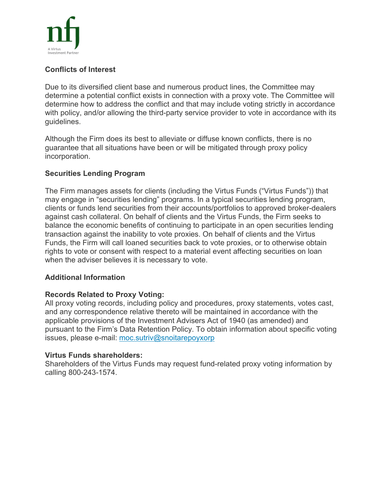

## **Conflicts of Interest**

Due to its diversified client base and numerous product lines, the Committee may determine a potential conflict exists in connection with a proxy vote. The Committee will determine how to address the conflict and that may include voting strictly in accordance with policy, and/or allowing the third-party service provider to vote in accordance with its guidelines.

Although the Firm does its best to alleviate or diffuse known conflicts, there is no guarantee that all situations have been or will be mitigated through proxy policy incorporation.

## **Securities Lending Program**

The Firm manages assets for clients (including the Virtus Funds ("Virtus Funds")) that may engage in "securities lending" programs. In a typical securities lending program, clients or funds lend securities from their accounts/portfolios to approved broker-dealers against cash collateral. On behalf of clients and the Virtus Funds, the Firm seeks to balance the economic benefits of continuing to participate in an open securities lending transaction against the inability to vote proxies. On behalf of clients and the Virtus Funds, the Firm will call loaned securities back to vote proxies, or to otherwise obtain rights to vote or consent with respect to a material event affecting securities on loan when the adviser believes it is necessary to vote.

## **Additional Information**

## **Records Related to Proxy Voting:**

All proxy voting records, including policy and procedures, proxy statements, votes cast, and any correspondence relative thereto will be maintained in accordance with the applicable provisions of the Investment Advisers Act of 1940 (as amended) and pursuant to the Firm's Data Retention Policy. To obtain information about specific voting issues, please e-mail: [moc.sutriv@snoitarepoyxorp](javascript:reveal_email()

## **Virtus Funds shareholders:**

Shareholders of the Virtus Funds may request fund-related proxy voting information by calling 800-243-1574.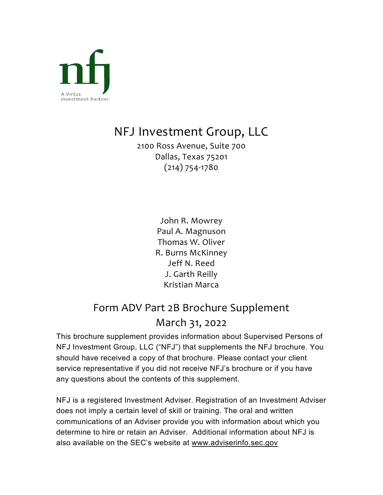

# NFJ Investment Group, LLC

2100 Ross Avenue, Suite 700 Dallas, Texas 75201 (214) 754-1780

> John R. Mowrey Paul A. Magnuson Thomas W. Oliver R. Burns McKinney Jeff N. Reed J. Garth Reilly Kristian Marca

# Form ADV Part 2B Brochure Supplement March 31, 2022

This brochure supplement provides information about Supervised Persons of NFJ Investment Group, LLC ("NFJ") that supplements the NFJ brochure. You should have received a copy of that brochure. Please contact your client service representative if you did not receive NFJ's brochure or if you have any questions about the contents of this supplement.

NFJ is a registered Investment Adviser. Registration of an Investment Adviser does not imply a certain level of skill or training. The oral and written communications of an Adviser provide you with information about which you determine to hire or retain an Adviser. Additional information about NFJ is also available on the SEC's website at [www.adviserinfo.sec.gov](http://www.adviserinfo.sec.gov/)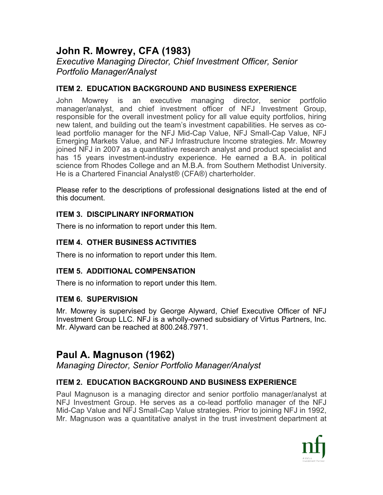# **John R. Mowrey, CFA (1983)**

*Executive Managing Director, Chief Investment Officer, Senior Portfolio Manager/Analyst* 

## **ITEM 2. EDUCATION BACKGROUND AND BUSINESS EXPERIENCE**

John Mowrey is an executive managing director, senior portfolio manager/analyst, and chief investment officer of NFJ Investment Group, responsible for the overall investment policy for all value equity portfolios, hiring new talent, and building out the team's investment capabilities. He serves as colead portfolio manager for the NFJ Mid-Cap Value, NFJ Small-Cap Value, NFJ Emerging Markets Value, and NFJ Infrastructure Income strategies. Mr. Mowrey joined NFJ in 2007 as a quantitative research analyst and product specialist and has 15 years investment-industry experience. He earned a B.A. in political science from Rhodes College and an M.B.A. from Southern Methodist University. He is a Chartered Financial Analyst® (CFA®) charterholder.

Please refer to the descriptions of professional designations listed at the end of this document.

## **ITEM 3. DISCIPLINARY INFORMATION**

There is no information to report under this Item.

# **ITEM 4. OTHER BUSINESS ACTIVITIES**

There is no information to report under this Item.

# **ITEM 5. ADDITIONAL COMPENSATION**

There is no information to report under this Item.

## **ITEM 6. SUPERVISION**

Mr. Mowrey is supervised by George Alyward, Chief Executive Officer of NFJ Investment Group LLC. NFJ is a wholly-owned subsidiary of Virtus Partners, Inc. Mr. Alyward can be reached at 800.248.7971.

# **Paul A. Magnuson (1962)**

*Managing Director, Senior Portfolio Manager/Analyst*

# **ITEM 2. EDUCATION BACKGROUND AND BUSINESS EXPERIENCE**

Paul Magnuson is a managing director and senior portfolio manager/analyst at NFJ Investment Group. He serves as a co-lead portfolio manager of the NFJ Mid-Cap Value and NFJ Small-Cap Value strategies. Prior to joining NFJ in 1992, Mr. Magnuson was a quantitative analyst in the trust investment department at

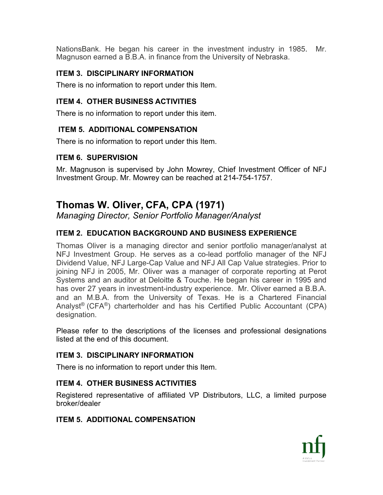NationsBank. He began his career in the investment industry in 1985. Mr. Magnuson earned a B.B.A. in finance from the University of Nebraska.

# **ITEM 3. DISCIPLINARY INFORMATION**

There is no information to report under this Item.

# **ITEM 4. OTHER BUSINESS ACTIVITIES**

There is no information to report under this item.

# **ITEM 5. ADDITIONAL COMPENSATION**

There is no information to report under this Item.

# **ITEM 6. SUPERVISION**

Mr. Magnuson is supervised by John Mowrey, Chief Investment Officer of NFJ Investment Group. Mr. Mowrey can be reached at 214-754-1757.

# **Thomas W. Oliver, CFA, CPA (1971)**

*Managing Director, Senior Portfolio Manager/Analyst* 

# **ITEM 2. EDUCATION BACKGROUND AND BUSINESS EXPERIENCE**

Thomas Oliver is a managing director and senior portfolio manager/analyst at NFJ Investment Group. He serves as a co-lead portfolio manager of the NFJ Dividend Value, NFJ Large-Cap Value and NFJ All Cap Value strategies. Prior to joining NFJ in 2005, Mr. Oliver was a manager of corporate reporting at Perot Systems and an auditor at Deloitte & Touche. He began his career in 1995 and has over 27 years in investment-industry experience. Mr. Oliver earned a B.B.A. and an M.B.A. from the University of Texas. He is a Chartered Financial Analyst® (CFA®) charterholder and has his Certified Public Accountant (CPA) designation.

Please refer to the descriptions of the licenses and professional designations listed at the end of this document.

# **ITEM 3. DISCIPLINARY INFORMATION**

There is no information to report under this Item.

# **ITEM 4. OTHER BUSINESS ACTIVITIES**

Registered representative of affiliated VP Distributors, LLC, a limited purpose broker/dealer

# **ITEM 5. ADDITIONAL COMPENSATION**

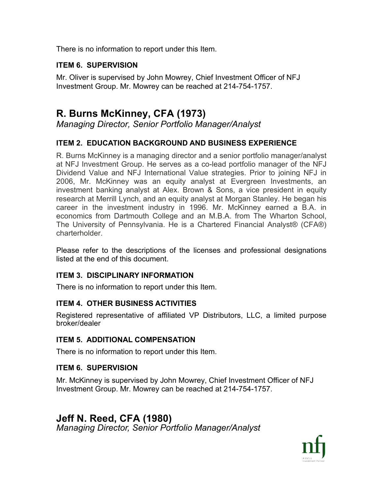There is no information to report under this Item.

## **ITEM 6. SUPERVISION**

Mr. Oliver is supervised by John Mowrey, Chief Investment Officer of NFJ Investment Group. Mr. Mowrey can be reached at 214-754-1757.

# **R. Burns McKinney, CFA (1973)**

*Managing Director, Senior Portfolio Manager/Analyst*

# **ITEM 2. EDUCATION BACKGROUND AND BUSINESS EXPERIENCE**

R. Burns McKinney is a managing director and a senior portfolio manager/analyst at NFJ Investment Group. He serves as a co-lead portfolio manager of the NFJ Dividend Value and NFJ International Value strategies. Prior to joining NFJ in 2006, Mr. McKinney was an equity analyst at Evergreen Investments, an investment banking analyst at Alex. Brown & Sons, a vice president in equity research at Merrill Lynch, and an equity analyst at Morgan Stanley. He began his career in the investment industry in 1996. Mr. McKinney earned a B.A. in economics from Dartmouth College and an M.B.A. from The Wharton School, The University of Pennsylvania. He is a Chartered Financial Analyst® (CFA®) charterholder.

Please refer to the descriptions of the licenses and professional designations listed at the end of this document.

## **ITEM 3. DISCIPLINARY INFORMATION**

There is no information to report under this Item.

# **ITEM 4. OTHER BUSINESS ACTIVITIES**

Registered representative of affiliated VP Distributors, LLC, a limited purpose broker/dealer

## **ITEM 5. ADDITIONAL COMPENSATION**

There is no information to report under this Item.

## **ITEM 6. SUPERVISION**

Mr. McKinney is supervised by John Mowrey, Chief Investment Officer of NFJ Investment Group. Mr. Mowrey can be reached at 214-754-1757.

# **Jeff N. Reed, CFA (1980)**

*Managing Director, Senior Portfolio Manager/Analyst*

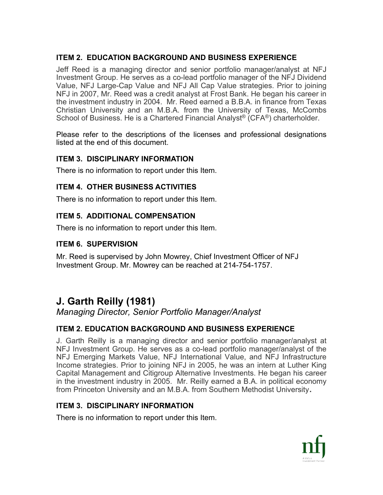## **ITEM 2. EDUCATION BACKGROUND AND BUSINESS EXPERIENCE**

Jeff Reed is a managing director and senior portfolio manager/analyst at NFJ Investment Group. He serves as a co-lead portfolio manager of the NFJ Dividend Value, NFJ Large-Cap Value and NFJ All Cap Value strategies. Prior to joining NFJ in 2007, Mr. Reed was a credit analyst at Frost Bank. He began his career in the investment industry in 2004. Mr. Reed earned a B.B.A. in finance from Texas Christian University and an M.B.A. from the University of Texas, McCombs School of Business. He is a Chartered Financial Analyst® (CFA®) charterholder.

Please refer to the descriptions of the licenses and professional designations listed at the end of this document.

## **ITEM 3. DISCIPLINARY INFORMATION**

There is no information to report under this Item.

## **ITEM 4. OTHER BUSINESS ACTIVITIES**

There is no information to report under this Item.

## **ITEM 5. ADDITIONAL COMPENSATION**

There is no information to report under this Item.

## **ITEM 6. SUPERVISION**

Mr. Reed is supervised by John Mowrey, Chief Investment Officer of NFJ Investment Group. Mr. Mowrey can be reached at 214-754-1757.

# **J. Garth Reilly (1981)**

*Managing Director, Senior Portfolio Manager/Analyst*

## **ITEM 2. EDUCATION BACKGROUND AND BUSINESS EXPERIENCE**

J. Garth Reilly is a managing director and senior portfolio manager/analyst at NFJ Investment Group. He serves as a co-lead portfolio manager/analyst of the NFJ Emerging Markets Value, NFJ International Value, and NFJ Infrastructure Income strategies. Prior to joining NFJ in 2005, he was an intern at Luther King Capital Management and Citigroup Alternative Investments. He began his career in the investment industry in 2005. Mr. Reilly earned a B.A. in political economy from Princeton University and an M.B.A. from Southern Methodist University.

## **ITEM 3. DISCIPLINARY INFORMATION**

There is no information to report under this Item.

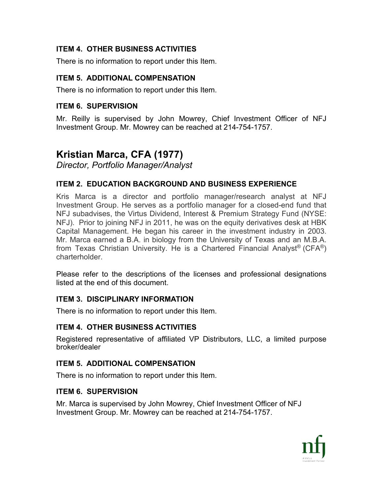# **ITEM 4. OTHER BUSINESS ACTIVITIES**

There is no information to report under this Item.

## **ITEM 5. ADDITIONAL COMPENSATION**

There is no information to report under this Item.

## **ITEM 6. SUPERVISION**

Mr. Reilly is supervised by John Mowrey, Chief Investment Officer of NFJ Investment Group. Mr. Mowrey can be reached at 214-754-1757.

# **Kristian Marca, CFA (1977)**

*Director, Portfolio Manager/Analyst*

## **ITEM 2. EDUCATION BACKGROUND AND BUSINESS EXPERIENCE**

Kris Marca is a director and portfolio manager/research analyst at NFJ Investment Group. He serves as a portfolio manager for a closed-end fund that NFJ subadvises, the Virtus Dividend, Interest & Premium Strategy Fund (NYSE: NFJ). Prior to joining NFJ in 2011, he was on the equity derivatives desk at HBK Capital Management. He began his career in the investment industry in 2003. Mr. Marca earned a B.A. in biology from the University of Texas and an M.B.A. from Texas Christian University. He is a Chartered Financial Analyst® (CFA®) charterholder.

Please refer to the descriptions of the licenses and professional designations listed at the end of this document.

## **ITEM 3. DISCIPLINARY INFORMATION**

There is no information to report under this Item.

# **ITEM 4. OTHER BUSINESS ACTIVITIES**

Registered representative of affiliated VP Distributors, LLC, a limited purpose broker/dealer

## **ITEM 5. ADDITIONAL COMPENSATION**

There is no information to report under this Item.

## **ITEM 6. SUPERVISION**

Mr. Marca is supervised by John Mowrey, Chief Investment Officer of NFJ Investment Group. Mr. Mowrey can be reached at 214-754-1757.